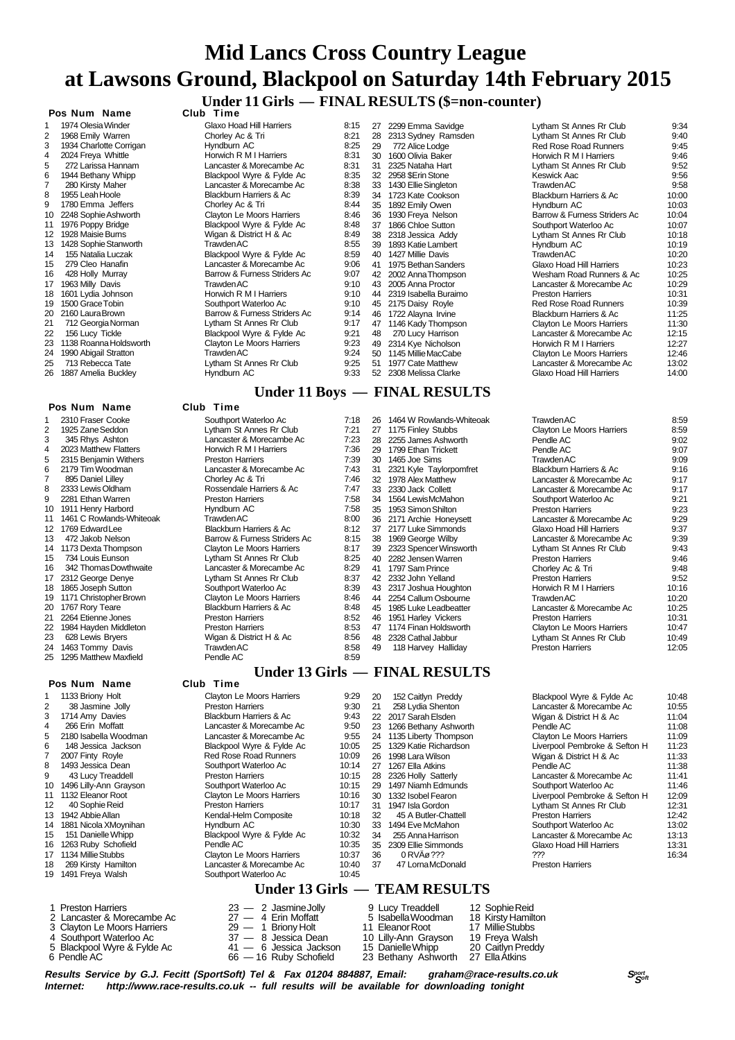# **Mid Lancs Cross Country League at Lawsons Ground, Blackpool on Saturday 14th February 2015 Under 11 Girls — FINAL RESULTS (\$=non-counter)**

# **Pos Num Name**

| 1  | 1974 Olesia Winder      |
|----|-------------------------|
| 2  | 1968 Emily Warren       |
| 3  | 1934 Charlotte Corrigan |
| 4  | 2024 Freya Whittle      |
| 5  | 272 Larissa Hannam      |
| 6  | 1944 Bethany Whipp      |
| 7  | 280 Kirsty Maher        |
| 8  | 1955 Leah Hoole         |
| 9  | 1780 Emma Jeffers       |
| 10 | 2248 Sophie Ashworth    |
| 11 | 1976 Poppy Bridge       |
| 12 | 1928 Maisie Burns       |
| 13 | 1428 Sophie Stanworth   |
| 14 | 155 Natalia Luczak      |
| 15 | 279 Cleo Hanafin        |
| 16 | 428 Holly Murray        |
| 17 | 1963 Milly Davis        |
| 18 | 1601 Lydia Johnson      |
| 19 | 1500 Grace Tobin        |
| 20 | 2160 Laura Brown        |
| 21 | 712 Georgia Norman      |
| 22 | 156 Lucy Tickle         |
| 23 | 1138 Roanna Holdsworth  |
| 24 | 1990 Abigail Stratton   |
| 25 | 713 Rebecca Tate        |
| ንፍ | 1887 Amelia Buckley     |

#### **Pos Num Name Club Time**

|    | Pos Num<br>Name          | Club<br>Time                 |      |
|----|--------------------------|------------------------------|------|
|    |                          | Under 13 Girls –             |      |
| 25 | 1295 Matthew Maxfield    | Pendle AC                    | 8:59 |
| 24 | 1463 Tommy Davis         | <b>Trawden AC</b>            | 8:58 |
| 23 | 628 Lewis Bryers         | Wigan & District H & Ac      | 8:56 |
| 22 | 1984 Hayden Middleton    | <b>Preston Harriers</b>      | 8:53 |
| 21 | 2264 Etienne Jones       | <b>Preston Harriers</b>      | 8:52 |
| 20 | 1767 Rory Teare          | Blackburn Harriers & Ac      | 8:48 |
| 19 | 1171 Christopher Brown   | Clayton Le Moors Harriers    | 8:46 |
| 18 | 1865 Joseph Sutton       | Southport Waterloo Ac        | 8:39 |
| 17 | 2312 George Denye        | Lytham St Annes Rr Club      | 8:37 |
| 16 | 342 Thomas Dowthwaite    | Lancaster & Morecambe Ac     | 8:29 |
| 15 | 734 Louis Eunson         | Lytham St Annes Rr Club      | 8:25 |
| 14 | 1173 Dexta Thompson      | Clayton Le Moors Harriers    | 8:17 |
| 13 | 472 Jakob Nelson         | Barrow & Furness Striders Ac | 8:15 |
| 12 | 1769 Edward Lee          | Blackburn Harriers & Ac      | 8:12 |
| 11 | 1461 C Rowlands-Whiteoak | Trawden AC                   | 8:00 |
| 10 | 1911 Henry Harbord       | Hyndburn AC                  | 7:58 |
| 9  | 2281 Ethan Warren        | <b>Preston Harriers</b>      | 7:58 |
| 8  | 2333 Lewis Oldham        | Rossendale Harriers & Ac     | 7:47 |
| 7  | 895 Daniel Lilley        | Chorley Ac & Tri             | 7:46 |
| 6  | 2179 Tim Woodman         | Lancaster & Morecambe Ac     | 7:43 |
| 5  | 2315 Benjamin Withers    | <b>Preston Harriers</b>      | 7:39 |
| 4  | 2023 Matthew Flatters    | Horwich R M I Harriers       | 7:36 |
| 3  | 345 Rhys Ashton          | Lancaster & Morecambe Ac     | 7:23 |
| 2  | 1925 Zane Seddon         | Lytham St Annes Rr Club      | 7:21 |
| 1  | 2310 Fraser Cooke        | Southport Waterloo Ac        | 7:18 |

#### 1 1133 Briony Holt<br>2 38 Jasmine Jo 38 Jasmine Jolly 3 1714 Amy Davies  $4$  266 Erin Moffatt<br>5 2180 Isabella Wor Ess Emminus. 6 148 Jessica Jackson<br> $\frac{7}{2}$  2007 Finty Royle 7 2007 Finty Royle<br>8 1493 Jessica Dea 8 1493 Jessica Dean<br>9 43 Lucy Treadde 43 Lucy Treaddell 10 1496 Lilly-Ann Grayson<br>11 1132 Eleanor Root 1132 Eleanor Root 12 40 Sophie Reid<br>13 1942 Abbie Allan 13 1942 Abbie Allan<br>14 1881 Nicola XMo 1881 Nicola XMoynihan 15 151 Danielle Whipp<br>16 1263 Ruby Schofield 16 1263 Ruby Schofield<br>17 1134 Millie Stubbs 1134 Millie Stubbs 18 269 Kirsty Hamilton<br>19 1491 Freva Walsh سانها Freva Walsh

- 
- 
- 
- -

| 1  | 1974 Olesia Winder      | Glaxo Hoad Hill Harriers     | 8:15 | 27 | 2299 Emma Savidge     |
|----|-------------------------|------------------------------|------|----|-----------------------|
| 2  | 1968 Emily Warren       | Chorley Ac & Tri             | 8:21 | 28 | 2313 Sydney Ramsden   |
| 3  | 1934 Charlotte Corrigan | Hyndburn AC                  | 8:25 | 29 | 772 Alice Lodge       |
| 4  | 2024 Freya Whittle      | Horwich R M I Harriers       | 8:31 | 30 | 1600 Olivia Baker     |
| 5  | 272 Larissa Hannam      | Lancaster & Morecambe Ac     | 8:31 | 31 | 2325 Nataha Hart      |
| 6  | 1944 Bethany Whipp      | Blackpool Wyre & Fylde Ac    | 8:35 | 32 | 2958 \$Erin Stone     |
| 7  | 280 Kirsty Maher        | Lancaster & Morecambe Ac     | 8:38 | 33 | 1430 Ellie Singleton  |
| 8  | 1955 Leah Hoole         | Blackburn Harriers & Ac      | 8:39 | 34 | 1723 Kate Cookson     |
| 9  | 1780 Emma Jeffers       | Chorley Ac & Tri             | 8:44 | 35 | 1892 Emily Owen       |
| 10 | 2248 Sophie Ashworth    | Clayton Le Moors Harriers    | 8:46 | 36 | 1930 Freya Nelson     |
| 11 | 1976 Poppy Bridge       | Blackpool Wyre & Fylde Ac    | 8:48 | 37 | 1866 Chloe Sutton     |
| 12 | 1928 Maisie Burns       | Wigan & District H & Ac      | 8:49 | 38 | 2318 Jessica Addy     |
| 13 | 1428 Sophie Stanworth   | Trawden AC                   | 8:55 | 39 | 1893 Katie Lambert    |
| 14 | 155 Natalia Luczak      | Blackpool Wyre & Fylde Ac    | 8:59 | 40 | 1427 Millie Davis     |
| 15 | 279 Cleo Hanafin        | Lancaster & Morecambe Ac     | 9:06 | 41 | 1975 Bethan Sanders   |
| 16 | 428 Holly Murray        | Barrow & Furness Striders Ac | 9:07 | 42 | 2002 Anna Thompson    |
| 17 | 1963 Milly Davis        | <b>Trawden AC</b>            | 9:10 | 43 | 2005 Anna Proctor     |
| 18 | 1601 Lydia Johnson      | Horwich R M I Harriers       | 9:10 | 44 | 2319 Isabella Buraimo |
| 19 | 1500 Grace Tobin        | Southport Waterloo Ac        | 9:10 | 45 | 2175 Daisy Royle      |
| 20 | 2160 Laura Brown        | Barrow & Furness Striders Ac | 9:14 | 46 | 1722 Alayna Irvine    |
| 21 | 712 Georgia Norman      | Lytham St Annes Rr Club      | 9:17 | 47 | 1146 Kady Thompson    |
| 22 | 156 Lucy Tickle         | Blackpool Wyre & Fylde Ac    | 9:21 | 48 | 270 Lucy Harrison     |
| 23 | 1138 Roanna Holdsworth  | Clayton Le Moors Harriers    | 9:23 | 49 | 2314 Kye Nicholson    |
| 24 | 1990 Abigail Stratton   | <b>Trawden AC</b>            | 9:24 | 50 | 1145 Millie MacCabe   |
| 25 | 713 Rebecca Tate        | Lytham St Annes Rr Club      | 9:25 |    | 51 1977 Cate Matthew  |
| 26 | 1887 Amelia Buckley     | Hyndburn AC                  | 9:33 | 52 | 2308 Melissa Clarke   |
|    |                         |                              |      |    |                       |

#### **Under 11 Boys — FINAL RESULTS**

| 1  | 2310 Fraser Cooke        | Southport Waterloo Ac        | 7:18 | 26 | 1464 W Rowlands-Whiteo   |
|----|--------------------------|------------------------------|------|----|--------------------------|
| 2  | 1925 Zane Seddon         | Lytham St Annes Rr Club      | 7:21 | 27 | 1175 Finley Stubbs       |
| 3  | 345 Rhys Ashton          | Lancaster & Morecambe Ac     | 7:23 | 28 | 2255 James Ashworth      |
| 4  | 2023 Matthew Flatters    | Horwich R M I Harriers       | 7:36 | 29 | 1799 Ethan Trickett      |
| 5  | 2315 Benjamin Withers    | <b>Preston Harriers</b>      | 7:39 | 30 | 1465 Joe Sims            |
| 6  | 2179 Tim Woodman         | Lancaster & Morecambe Ac     | 7:43 | 31 | 2321 Kyle Taylorpomfret  |
| 7  | 895 Daniel Lilley        | Chorley Ac & Tri             | 7:46 | 32 | 1978 Alex Matthew        |
| 8  | 2333 Lewis Oldham        | Rossendale Harriers & Ac     | 7:47 | 33 | 2330 Jack Collett        |
| 9  | 2281 Ethan Warren        | <b>Preston Harriers</b>      | 7:58 | 34 | 1564 Lewis McMahon       |
| 10 | 1911 Henry Harbord       | Hyndburn AC                  | 7:58 | 35 | 1953 Simon Shilton       |
| 11 | 1461 C Rowlands-Whiteoak | <b>Trawden AC</b>            | 8:00 |    | 36 2171 Archie Honeysett |
| 12 | 1769 Edward Lee          | Blackburn Harriers & Ac      | 8:12 | 37 | 2177 Luke Simmonds       |
| 13 | 472 Jakob Nelson         | Barrow & Furness Striders Ac | 8:15 | 38 | 1969 George Wilby        |
| 14 | 1173 Dexta Thompson      | Clayton Le Moors Harriers    | 8:17 | 39 | 2323 Spencer Winsworth   |
| 15 | 734 Louis Eunson         | Lytham St Annes Rr Club      | 8:25 | 40 | 2282 Jensen Warren       |
| 16 | 342 Thomas Dowthwaite    | Lancaster & Morecambe Ac     | 8:29 | 41 | 1797 Sam Prince          |
| 17 | 2312 George Denye        | Lytham St Annes Rr Club      | 8:37 |    | 42 2332 John Yelland     |
| 18 | 1865 Joseph Sutton       | Southport Waterloo Ac        | 8:39 | 43 | 2317 Joshua Houghton     |
| 19 | 1171 Christopher Brown   | Clayton Le Moors Harriers    | 8:46 | 44 | 2254 Callum Osbourne     |
| 20 | 1767 Rory Teare          | Blackburn Harriers & Ac      | 8:48 | 45 | 1985 Luke Leadbeatter    |
| 21 | 2264 Etienne Jones       | <b>Preston Harriers</b>      | 8:52 | 46 | 1951 Harley Vickers      |
| 22 | 1984 Hayden Middleton    | <b>Preston Harriers</b>      | 8:53 | 47 | 1174 Finan Holdsworth    |
| 23 | 628 Lewis Bryers         | Wigan & District H & Ac      | 8:56 | 48 | 2328 Cathal Jabbur       |
| 24 | 1463 Tommy Davis         | <b>Trawden AC</b>            | 8:58 | 49 | 118 Harvey Halliday      |
| ገፍ | 1205 Motthow Moyfield    | Dondlo AC                    | 9.50 |    |                          |

#### **Under 13 Girls — FINAL RESULTS**

| uu | .                                |       |    |                        |                         |
|----|----------------------------------|-------|----|------------------------|-------------------------|
|    | <b>Clayton Le Moors Harriers</b> | 9:29  | 20 | 152 Caitlyn Preddy     | <b>Blackpool Wyre</b>   |
|    | <b>Preston Harriers</b>          | 9:30  | 21 | 258 Lydia Shenton      | Lancaster & Mor         |
|    | Blackburn Harriers & Ac          | 9:43  |    | 22 2017 Sarah Elsden   | Wigan & District        |
|    | Lancaster & Morecambe Ac         | 9:50  | 23 | 1266 Bethany Ashworth  | Pendle AC               |
|    | Lancaster & Morecambe Ac         | 9:55  | 24 | 1135 Liberty Thompson  | Clayton Le Moor         |
|    | Blackpool Wyre & Fylde Ac        | 10:05 | 25 | 1329 Katie Richardson  | Liverpool Pembr         |
|    | <b>Red Rose Road Runners</b>     | 10:09 | 26 | 1998 Lara Wilson       | Wigan & District        |
|    | Southport Waterloo Ac            | 10:14 | 27 | 1267 Ella Atkins       | Pendle AC               |
|    | <b>Preston Harriers</b>          | 10:15 |    | 28 2326 Holly Satterly | Lancaster & Mor         |
|    | Southport Waterloo Ac            | 10:15 | 29 | 1497 Niamh Edmunds     | Southport Water         |
|    | Clayton Le Moors Harriers        | 10:16 | 30 | 1332 Isobel Fearon     | Liverpool Pembr         |
|    | <b>Preston Harriers</b>          | 10:17 | 31 | 1947 Isla Gordon       | Lytham St Anne          |
|    | Kendal-Helm Composite            | 10:18 | 32 | 45 A Butler-Chattell   | <b>Preston Harriers</b> |
|    | Hyndburn AC                      | 10:30 | 33 | 1494 Eve McMahon       | Southport Water         |
|    | Blackpool Wyre & Fylde Ac        | 10:32 | 34 | 255 Anna Harrison      | Lancaster & Mor         |
|    | Pendle AC                        | 10:35 |    | 35 2309 Ellie Simmonds | Glaxo Hoad Hill         |
|    | Clayton Le Moors Harriers        | 10:37 | 36 | 0 RVAø ???             | ???                     |
|    | Lancaster & Morecambe Ac         | 10:40 | 37 | 47 Lorna McDonald      | <b>Preston Harriers</b> |
|    | Southport Waterloo Ac            | 10:45 |    |                        |                         |
|    |                                  |       |    |                        |                         |

### **Under 13 Girls — TEAM RESULTS**

| 1 Preston Harriers<br>2 Lancaster & Morecambe Ac<br>3 Clayton Le Moors Harriers<br>4 Southport Waterloo Ac<br>5 Blackpool Wyre & Fylde Ac<br>6 Pendle AC | $23 - 2$ Jasmine Jolly<br>$27 - 4$ Erin Moffatt<br>$29 - 1$ Briony Holt<br>37 — 8 Jessica Dean<br>41 - 6 Jessica Jackson<br>66 - 16 Ruby Schofield | 9 Lucy Treaddell<br>5 Isabella Woodman<br>11 Eleanor Root<br>10 Lilly-Ann Grayson<br>15 Danielle Whipp<br>23 Bethany Ashworth 27 Ella Atkins | 12 Sophie Reid<br>18 Kirsty Hamilton<br>17 Millie Stubbs<br>19 Freva Walsh<br>20 Caitlyn Preddy |
|----------------------------------------------------------------------------------------------------------------------------------------------------------|----------------------------------------------------------------------------------------------------------------------------------------------------|----------------------------------------------------------------------------------------------------------------------------------------------|-------------------------------------------------------------------------------------------------|
|----------------------------------------------------------------------------------------------------------------------------------------------------------|----------------------------------------------------------------------------------------------------------------------------------------------------|----------------------------------------------------------------------------------------------------------------------------------------------|-------------------------------------------------------------------------------------------------|



|    | 26 1464 W Rowlands-Whiteoak | TrawdenAC                 | 8:59  |
|----|-----------------------------|---------------------------|-------|
| 27 | 1175 Finley Stubbs          | Clayton Le Moors Harriers | 8:59  |
|    | 28 2255 James Ashworth      | Pendle AC                 | 9:02  |
|    | 29 1799 Ethan Trickett      | Pendle AC                 | 9:07  |
|    | 30 1465 Joe Sims            | Trawden AC                | 9:09  |
| 31 | 2321 Kyle Taylorpomfret     | Blackburn Harriers & Ac   | 9:16  |
|    | 32 1978 Alex Matthew        | Lancaster & Morecambe Ac  | 9:17  |
|    | 33 2330 Jack Collett        | Lancaster & Morecambe Ac  | 9:17  |
|    | 34 1564 Lewis McMahon       | Southport Waterloo Ac     | 9:21  |
|    | 35 1953 Simon Shilton       | <b>Preston Harriers</b>   | 9:23  |
|    | 36 2171 Archie Honeysett    | Lancaster & Morecambe Ac  | 9:29  |
| 37 | 2177 Luke Simmonds          | Glaxo Hoad Hill Harriers  | 9:37  |
| 38 | 1969 George Wilby           | Lancaster & Morecambe Ac  | 9:39  |
| 39 | 2323 Spencer Winsworth      | Lytham St Annes Rr Club   | 9:43  |
|    | 40 2282 Jensen Warren       | <b>Preston Harriers</b>   | 9:46  |
|    | 41 1797 Sam Prince          | Chorley Ac & Tri          | 9:48  |
|    | 42 2332 John Yelland        | <b>Preston Harriers</b>   | 9:52  |
|    | 43 2317 Joshua Houghton     | Horwich R M I Harriers    | 10:16 |
|    | 44 2254 Callum Osbourne     | Trawden AC                | 10:20 |
|    | 45 1985 Luke Leadbeatter    | Lancaster & Morecambe Ac  | 10:25 |
|    | 46 1951 Harley Vickers      | <b>Preston Harriers</b>   | 10:31 |
| 47 | 1174 Finan Holdsworth       | Clayton Le Moors Harriers | 10:47 |
|    | 48 2328 Cathal Jabbur       | Lytham St Annes Rr Club   | 10:49 |
|    | 49 118 Harvev Hallidav      | <b>Preston Harriers</b>   | 12:05 |

| 20 | 152 Caitlyn Preddy       | Blackpool Wyre & Fylde Ac        | 10:48 |
|----|--------------------------|----------------------------------|-------|
| 21 | 258 Lydia Shenton        | Lancaster & Morecambe Ac         | 10:55 |
|    | 22 2017 Sarah Elsden     | Wigan & District H & Ac          | 11:04 |
|    | 23 1266 Bethany Ashworth | Pendle AC                        | 11:08 |
|    | 24 1135 Liberty Thompson | <b>Clayton Le Moors Harriers</b> | 11:09 |
|    | 25 1329 Katie Richardson | Liverpool Pembroke & Sefton H    | 11:23 |
|    | 26 1998 Lara Wilson      | Wigan & District H & Ac          | 11:33 |
|    | 27 1267 Ella Atkins      | Pendle AC                        | 11:38 |
|    | 28 2326 Holly Satterly   | Lancaster & Morecambe Ac         | 11:41 |
|    | 29 1497 Niamh Edmunds    | Southport Waterloo Ac            | 11:46 |
|    | 30 1332 Isobel Fearon    | Liverpool Pembroke & Sefton H    | 12:09 |
| 31 | 1947 Isla Gordon         | Lytham St Annes Rr Club          | 12:31 |
| 32 | 45 A Butler-Chattell     | <b>Preston Harriers</b>          | 12:42 |
|    | 33 1494 Eve McMahon      | Southport Waterloo Ac            | 13:02 |
| 34 | 255 Anna Harrison        | Lancaster & Morecambe Ac         | 13:13 |
|    | 35 2309 Ellie Simmonds   | Glaxo Hoad Hill Harriers         | 13:31 |
| 36 | 0 RVA <sub>a</sub> ???   | ???                              | 16:34 |
|    | 37 47 Lorna McDonald     | <b>Preston Harriers</b>          |       |
|    |                          |                                  |       |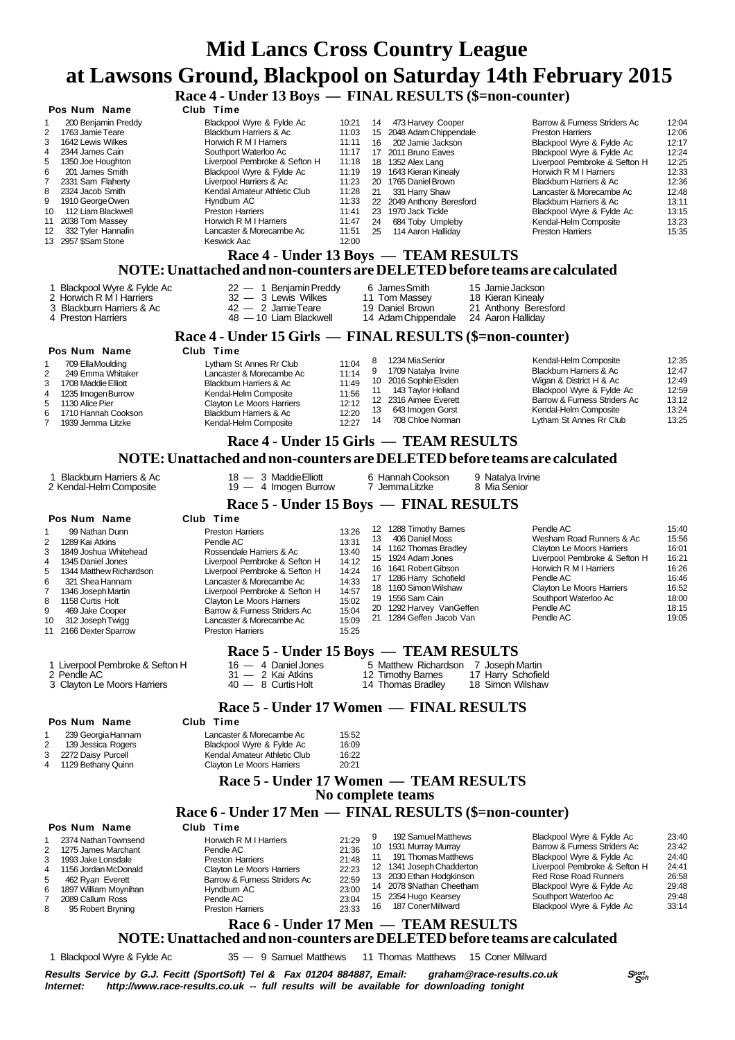### **Race 4 - Under 13 Boys — FINAL RESULTS (\$=non-counter)**

|                                                                                                                                                                                                                                                                                                                                                           |                                                                                                                                                                                                                                                                                                                                                                     | Race 4 - Under 13 Boys — FINAL RESULTS ( $\overline{p}$ =non-counter)                                                                                                                                                                                                                                                                                                                                                                                                        |                                                                                                                                                                                                                                                                                                                                                                                                                                                             |
|-----------------------------------------------------------------------------------------------------------------------------------------------------------------------------------------------------------------------------------------------------------------------------------------------------------------------------------------------------------|---------------------------------------------------------------------------------------------------------------------------------------------------------------------------------------------------------------------------------------------------------------------------------------------------------------------------------------------------------------------|------------------------------------------------------------------------------------------------------------------------------------------------------------------------------------------------------------------------------------------------------------------------------------------------------------------------------------------------------------------------------------------------------------------------------------------------------------------------------|-------------------------------------------------------------------------------------------------------------------------------------------------------------------------------------------------------------------------------------------------------------------------------------------------------------------------------------------------------------------------------------------------------------------------------------------------------------|
| Pos Num Name<br>200 Benjamin Preddy<br>1<br>2<br>1763 Jamie Teare<br>3<br>1642 Lewis Wilkes<br>4<br>2344 James Cain<br>5<br>1350 Joe Houghton<br>6<br>201 James Smith<br>7<br>2331 Sam Flaherty<br>8<br>2324 Jacob Smith<br>1910 George Owen<br>9<br>112 Liam Blackwell<br>10<br>2038 Tom Massey<br>11<br>332 Tyler Hannafin<br>12<br>13 2957 \$Sam Stone | Club Time<br>Blackpool Wyre & Fylde Ac<br>Blackburn Harriers & Ac<br>Horwich R M I Harriers<br>Southport Waterloo Ac<br>Liverpool Pembroke & Sefton H<br>Blackpool Wyre & Fylde Ac<br>Liverpool Harriers & Ac<br>Kendal Amateur Athletic Club<br>Hyndburn AC<br><b>Preston Harriers</b><br>Horwich R M I Harriers<br>Lancaster & Morecambe Ac<br><b>Keswick Aac</b> | 10:21<br>473 Harvey Cooper<br>14<br>11:03<br>15 2048 Adam Chippendale<br>11:11<br>202 Jamie Jackson<br>16<br>11:17<br>17 2011 Bruno Eaves<br>11:18<br>18 1352 Alex Lang<br>11:19<br>19 1643 Kieran Kinealy<br>11:23<br>20 1765 Daniel Brown<br>11:28<br>21<br>331 Harry Shaw<br>11:33<br>22 2049 Anthony Beresford<br>11:41<br>23 1970 Jack Tickle<br>11:47<br>24<br>684 Toby Umpleby<br>11:51<br>25<br>114 Aaron Hallidav<br>12:00<br>Race 4 - Under 13 Boys — TEAM RESULTS | Barrow & Furness Striders Ac<br>12:04<br><b>Preston Harriers</b><br>12:06<br>12:17<br>Blackpool Wyre & Fylde Ac<br>Blackpool Wyre & Fylde Ac<br>12:24<br>Liverpool Pembroke & Sefton H<br>12:25<br>Horwich R M I Harriers<br>12:33<br>Blackburn Harriers & Ac<br>12:36<br>Lancaster & Morecambe Ac<br>12:48<br>13:11<br>Blackburn Harriers & Ac<br>Blackpool Wyre & Fylde Ac<br>13:15<br>Kendal-Helm Composite<br>13:23<br>15:35<br><b>Preston Harriers</b> |
|                                                                                                                                                                                                                                                                                                                                                           |                                                                                                                                                                                                                                                                                                                                                                     | NOTE: Unattached and non-counters are DELETED before teams are calculated                                                                                                                                                                                                                                                                                                                                                                                                    |                                                                                                                                                                                                                                                                                                                                                                                                                                                             |
| 1 Blackpool Wyre & Fylde Ac<br>2 Horwich R M I Harriers<br>3 Blackburn Harriers & Ac<br>4 Preston Harriers                                                                                                                                                                                                                                                | $22 - 1$ Benjamin Preddy<br>32 - 3 Lewis Wilkes<br>$42 - 2$ Jamie Teare<br>48 - 10 Liam Blackwell                                                                                                                                                                                                                                                                   | 6 James Smith<br>15 Jamie Jackson<br>11 Tom Massey<br>18 Kieran Kinealy<br>19 Daniel Brown<br>21 Anthony Beresford<br>14 Adam Chippendale<br>24 Aaron Halliday                                                                                                                                                                                                                                                                                                               |                                                                                                                                                                                                                                                                                                                                                                                                                                                             |
|                                                                                                                                                                                                                                                                                                                                                           |                                                                                                                                                                                                                                                                                                                                                                     | Race 4 - Under 15 Girls — FINAL RESULTS (\$=non-counter)                                                                                                                                                                                                                                                                                                                                                                                                                     |                                                                                                                                                                                                                                                                                                                                                                                                                                                             |
| Pos Num Name<br>709 Ella Moulding<br>1<br>2<br>249 Emma Whitaker<br>1708 Maddie Elliott<br>3<br>1235 Imogen Burrow<br>4<br>5<br>1130 Alice Pier<br>1710 Hannah Cookson<br>6<br>7<br>1939 Jemma Litzke                                                                                                                                                     | Club Time<br>Lytham St Annes Rr Club<br>Lancaster & Morecambe Ac<br>Blackburn Harriers & Ac<br>Kendal-Helm Composite<br>Clayton Le Moors Harriers<br>Blackburn Harriers & Ac<br>Kendal-Helm Composite                                                                                                                                                               | 1234 Mia Senior<br>8<br>11:04<br>9<br>1709 Natalya Irvine<br>11:14<br>10 2016 Sophie Elsden<br>11:49<br>143 Taylor Holland<br>11<br>11:56<br>12 2316 Aimee Everett<br>12:12<br>13 643 Imogen Gorst<br>12:20<br>708 Chloe Norman<br>14<br>12:27                                                                                                                                                                                                                               | Kendal-Helm Composite<br>12:35<br>Blackburn Harriers & Ac<br>12:47<br>Wigan & District H & Ac<br>12:49<br>Blackpool Wyre & Fylde Ac<br>12:59<br>Barrow & Furness Striders Ac<br>13:12<br>13:24<br>Kendal-Helm Composite<br>Lytham St Annes Rr Club<br>13:25                                                                                                                                                                                                 |
|                                                                                                                                                                                                                                                                                                                                                           |                                                                                                                                                                                                                                                                                                                                                                     | Race 4 - Under 15 Girls — TEAM RESULTS                                                                                                                                                                                                                                                                                                                                                                                                                                       |                                                                                                                                                                                                                                                                                                                                                                                                                                                             |
|                                                                                                                                                                                                                                                                                                                                                           |                                                                                                                                                                                                                                                                                                                                                                     | NOTE: Unattached and non-counters are DELETED before teams are calculated                                                                                                                                                                                                                                                                                                                                                                                                    |                                                                                                                                                                                                                                                                                                                                                                                                                                                             |
|                                                                                                                                                                                                                                                                                                                                                           |                                                                                                                                                                                                                                                                                                                                                                     |                                                                                                                                                                                                                                                                                                                                                                                                                                                                              |                                                                                                                                                                                                                                                                                                                                                                                                                                                             |
| 1 Blackburn Harriers & Ac<br>2 Kendal-Helm Composite                                                                                                                                                                                                                                                                                                      | 18 - 3 Maddie Elliott<br>$19 - 4$ Imogen Burrow                                                                                                                                                                                                                                                                                                                     | 6 Hannah Cookson<br>9 Natalya Irvine<br>7 Jemma Litzke<br>8 Mia Senior                                                                                                                                                                                                                                                                                                                                                                                                       |                                                                                                                                                                                                                                                                                                                                                                                                                                                             |
|                                                                                                                                                                                                                                                                                                                                                           |                                                                                                                                                                                                                                                                                                                                                                     |                                                                                                                                                                                                                                                                                                                                                                                                                                                                              |                                                                                                                                                                                                                                                                                                                                                                                                                                                             |
|                                                                                                                                                                                                                                                                                                                                                           |                                                                                                                                                                                                                                                                                                                                                                     | Race 5 - Under 15 Boys — FINAL RESULTS                                                                                                                                                                                                                                                                                                                                                                                                                                       |                                                                                                                                                                                                                                                                                                                                                                                                                                                             |
| Pos Num Name<br>$\mathbf{1}$<br>99 Nathan Dunn<br>1289 Kai Atkins<br>2<br>3<br>1849 Joshua Whitehead<br>1345 Daniel Jones<br>4<br>5<br>1344 Matthew Richardson<br>6<br>321 Shea Hannam<br>7<br>1346 Joseph Martin<br>1158 Curtis Holt<br>8<br>9<br>469 Jake Cooper<br>312 Joseph Twigg<br>10<br>2166 Dexter Sparrow<br>11                                 | Club Time<br><b>Preston Harriers</b><br>Pendle AC<br>Rossendale Harriers & Ac<br>Liverpool Pembroke & Sefton H<br>Liverpool Pembroke & Sefton H<br>Lancaster & Morecambe Ac<br>Liverpool Pembroke & Sefton H<br><b>Clayton Le Moors Harriers</b><br>Barrow & Furness Striders Ac<br>Lancaster & Morecambe Ac<br><b>Preston Harriers</b>                             | 12 1288 Timothy Barnes<br>13:26<br>406 Daniel Moss<br>13<br>13:31<br>14 1162 Thomas Bradley<br>13:40<br>15 1924 Adam Jones<br>14:12<br>16 1641 Robert Gibson<br>14:24<br>17 1286 Harry Schofield<br>14:33<br>18 1160 Simon Wilshaw<br>14:57<br>19 1556 Sam Cain<br>15:02<br>20 1292 Harvey VanGeffen<br>15:04<br>21 1284 Geffen Jacob Van<br>15:09<br>15:25                                                                                                                  | Pendle AC<br>15:40<br>15:56<br>Wesham Road Runners & Ac<br><b>Clayton Le Moors Harriers</b><br>16:01<br>Liverpool Pembroke & Sefton H<br>16:21<br>Horwich R M I Harriers<br>16:26<br>Pendle AC<br>16:46<br>Clayton Le Moors Harriers<br>16:52<br>Southport Waterloo Ac<br>18:00<br>Pendle AC<br>18:15<br>Pendle AC<br>19:05                                                                                                                                 |
|                                                                                                                                                                                                                                                                                                                                                           |                                                                                                                                                                                                                                                                                                                                                                     | Race 5 - Under 15 Boys — TEAM RESULTS                                                                                                                                                                                                                                                                                                                                                                                                                                        |                                                                                                                                                                                                                                                                                                                                                                                                                                                             |
| 1 Liverpool Pembroke & Sefton H<br>2 Pendle AC<br>3 Clayton Le Moors Harriers                                                                                                                                                                                                                                                                             | $16 - 4$ Daniel Jones<br>31 - 2 Kai Atkins<br>40 - 8 Curtis Holt                                                                                                                                                                                                                                                                                                    | 5 Matthew Richardson 7 Joseph Martin<br>12 Timothy Barnes<br>17 Harry Schofield<br>14 Thomas Bradley<br>18 Simon Wilshaw                                                                                                                                                                                                                                                                                                                                                     |                                                                                                                                                                                                                                                                                                                                                                                                                                                             |
|                                                                                                                                                                                                                                                                                                                                                           |                                                                                                                                                                                                                                                                                                                                                                     | Race 5 - Under 17 Women — FINAL RESULTS                                                                                                                                                                                                                                                                                                                                                                                                                                      |                                                                                                                                                                                                                                                                                                                                                                                                                                                             |
| Pos Num Name<br>239 Georgia Hannam<br>1<br>2<br>139 Jessica Rogers<br>2272 Daisy Purcell<br>3<br>1129 Bethany Quinn<br>4                                                                                                                                                                                                                                  | Club Time<br>Lancaster & Morecambe Ac<br>Blackpool Wyre & Fylde Ac<br>Kendal Amateur Athletic Club<br>Clayton Le Moors Harriers                                                                                                                                                                                                                                     | 15:52<br>16:09<br>16:22<br>20:21                                                                                                                                                                                                                                                                                                                                                                                                                                             |                                                                                                                                                                                                                                                                                                                                                                                                                                                             |
|                                                                                                                                                                                                                                                                                                                                                           |                                                                                                                                                                                                                                                                                                                                                                     | Race 5 - Under 17 Women — TEAM RESULTS                                                                                                                                                                                                                                                                                                                                                                                                                                       |                                                                                                                                                                                                                                                                                                                                                                                                                                                             |
|                                                                                                                                                                                                                                                                                                                                                           |                                                                                                                                                                                                                                                                                                                                                                     | No complete teams                                                                                                                                                                                                                                                                                                                                                                                                                                                            |                                                                                                                                                                                                                                                                                                                                                                                                                                                             |
|                                                                                                                                                                                                                                                                                                                                                           |                                                                                                                                                                                                                                                                                                                                                                     | Race 6 - Under 17 Men — FINAL RESULTS (\$=non-counter)                                                                                                                                                                                                                                                                                                                                                                                                                       |                                                                                                                                                                                                                                                                                                                                                                                                                                                             |
| Pos Num Name                                                                                                                                                                                                                                                                                                                                              | Club Time                                                                                                                                                                                                                                                                                                                                                           |                                                                                                                                                                                                                                                                                                                                                                                                                                                                              |                                                                                                                                                                                                                                                                                                                                                                                                                                                             |
| 2374 Nathan Townsend<br>1<br>2<br>1275 James Marchant<br>3<br>1993 Jake Lonsdale<br>4<br>1156 Jordan McDonald<br>5<br>462 Ryan Everett<br>1897 William Moynihan<br>6<br>2089 Callum Ross<br>7<br>8<br>95 Robert Bryning                                                                                                                                   | Horwich R M I Harriers<br>Pendle AC<br><b>Preston Harriers</b><br>Clayton Le Moors Harriers<br>Barrow & Furness Striders Ac<br>Hyndburn AC<br>Pendle AC<br><b>Preston Harriers</b>                                                                                                                                                                                  | 192 Samuel Matthews<br>9<br>21:29<br>10 1931 Murray Murray<br>21:36<br>191 Thomas Matthews<br>11<br>21:48<br>12 1341 Joseph Chadderton<br>22:23<br>13 2030 Ethan Hodgkinson<br>22:59<br>14 2078 \$Nathan Cheetham<br>23:00<br>15 2354 Hugo Kearsey<br>23:04<br>187 Coner Millward<br>16<br>23:33<br>.17M<br>THE A M IN DECITIE THE                                                                                                                                           | Blackpool Wyre & Fylde Ac<br>23:40<br>Barrow & Furness Striders Ac<br>23:42<br>Blackpool Wyre & Fylde Ac<br>24:40<br>Liverpool Pembroke & Sefton H<br>24:41<br><b>Red Rose Road Runners</b><br>26:58<br>Blackpool Wyre & Fylde Ac<br>29:48<br>Southport Waterloo Ac<br>29:48<br>33:14<br>Blackpool Wyre & Fylde Ac                                                                                                                                          |
|                                                                                                                                                                                                                                                                                                                                                           | D.<br>$TT_{11}$ , $T_{12}$ , $T_{13}$                                                                                                                                                                                                                                                                                                                               |                                                                                                                                                                                                                                                                                                                                                                                                                                                                              |                                                                                                                                                                                                                                                                                                                                                                                                                                                             |

#### **Race 6 - Under 17 Men — TEAM RESULTS NOTE: Unattached and non-counters are DELETED before teams are calculated**

1 Blackpool Wyre & Fylde Ac 35 — 9 Samuel Matthews 11 Thomas Matthews 15 Coner Millward

**Results Service by G.J. Fecitt (SportSoft) Tel & Fax 01204 884887, Email: graham@race-results.co.uk Special Special<br>Internet: http://www.race-results.co.uk -- full results will be available for downloading tonight** http://www.race-results.co.uk -- full results will be available for downloading tonight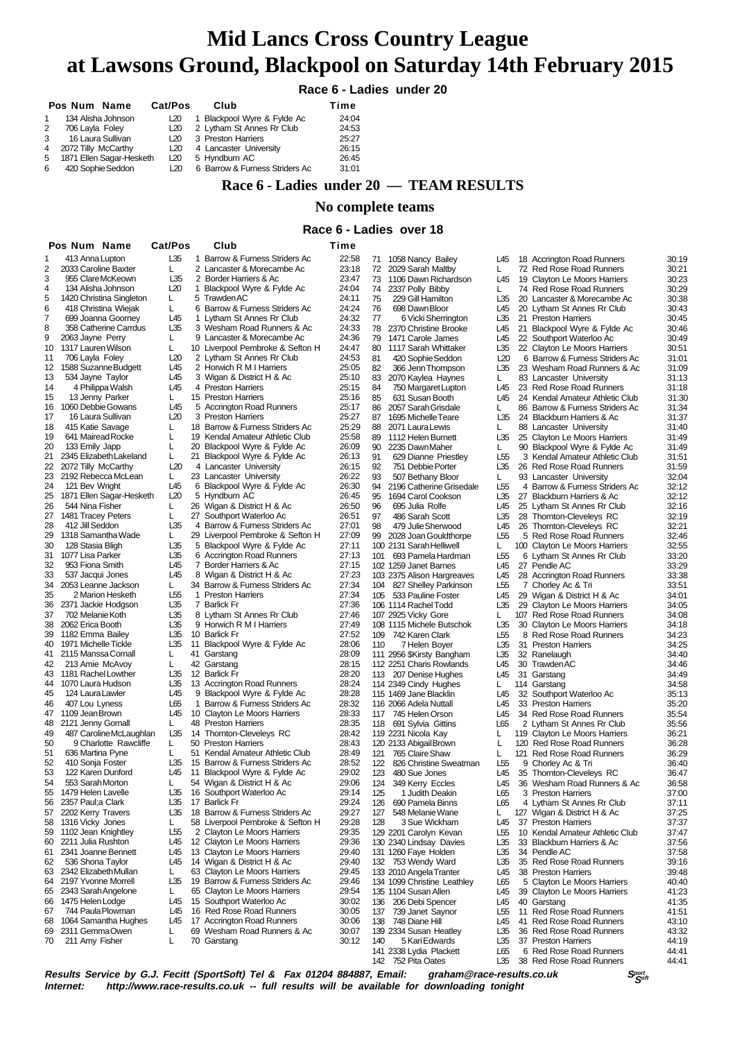#### **Race 6 - Ladies under 20**

|              | Pos Num Name             | Cat/Pos | Club                           | Time  |
|--------------|--------------------------|---------|--------------------------------|-------|
| 1            | 134 Alisha Johnson       | L20     | 1 Blackpool Wyre & Fylde Ac    | 24:04 |
| $\mathbf{2}$ | 706 Layla Foley          | L20     | 2 Lytham St Annes Rr Club      | 24:53 |
| 3            | 16 Laura Sullivan        | L20     | 3 Preston Harriers             | 25:27 |
| 4            | 2072 Tilly McCarthy      | L20     | 4 Lancaster University         | 26:15 |
| 5            | 1871 Ellen Sagar-Hesketh | L20     | 5 Hyndburn AC                  | 26:45 |
| 6.           | 420 Sophie Seddon        | L20     | 6 Barrow & Furness Striders Ac | 31:01 |
|              |                          |         |                                |       |

### **Race 6 - Ladies under 20 — TEAM RESULTS**

#### **No complete teams**

#### **Race 6 - Ladies over 18**

|          | Pos Num Name                                     | Cat/Pos    | Club                                                | Time           |            |                                                |                       |    |                                                           |                |
|----------|--------------------------------------------------|------------|-----------------------------------------------------|----------------|------------|------------------------------------------------|-----------------------|----|-----------------------------------------------------------|----------------|
| 1        | 413 Anna Lupton                                  | L35        | 1 Barrow & Furness Striders Ac                      | 22:58          | 71         | 1058 Nancy Bailey                              | L45                   |    | 18 Accrington Road Runners                                | 30:19          |
| 2        | 2033 Caroline Baxter                             | L          | 2 Lancaster & Morecambe Ac                          | 23:18          | 72         | 2029 Sarah Maltby                              | L                     |    | 72 Red Rose Road Runners                                  | 30:21          |
| 3        | 955 Clare McKeown                                | L35        | 2 Border Harriers & Ac                              | 23:47          | 73         | 1106 Dawn Richardson                           | L45                   |    | 19 Clayton Le Moors Harriers                              | 30:23          |
| 4        | 134 Alisha Johnson                               | L20        | 1 Blackpool Wyre & Fylde Ac<br>5 Trawden AC         | 24:04          | 74         | 2337 Polly Bibby                               | L                     |    | 74 Red Rose Road Runners                                  | 30:29          |
| 5<br>6   | 1420 Christina Singleton<br>418 Christina Wiejak | L.<br>L    | 6 Barrow & Furness Striders Ac                      | 24:11<br>24:24 | 75<br>76   | 229 Gill Hamilton                              | L35                   |    | 20 Lancaster & Morecambe Ac<br>20 Lytham St Annes Rr Club | 30:38<br>30:43 |
| 7        | 699 Joanna Goorney                               | L45        | 1 Lytham St Annes Rr Club                           | 24:32          | 77         | 698 Dawn Bloor<br>6 Vicki Sherrington          | L45<br>L35            |    | 21 Preston Harriers                                       | 30:45          |
| 8        | 358 Catherine Carrdus                            | L35        | 3 Wesham Road Runners & Ac                          | 24:33          | 78         | 2370 Christine Brooke                          | L45                   |    | 21 Blackpool Wyre & Fylde Ac                              | 30:46          |
| 9        | 2063 Jayne Perry                                 | L          | 9 Lancaster & Morecambe Ac                          | 24:36          | 79         | 1471 Carole James                              | L45                   |    | 22 Southport Waterloo Ac                                  | 30:49          |
| 10       | 1317 Lauren Wilson                               | L          | 10 Liverpool Pembroke & Sefton H                    | 24:47          | 80         | 1117 Sarah Whittaker                           | L35                   |    | 22 Clayton Le Moors Harriers                              | 30:51          |
| 11       | 706 Layla Foley                                  | L20        | 2 Lytham St Annes Rr Club                           | 24:53          | 81         | 420 Sophie Seddon                              | L20                   |    | 6 Barrow & Furness Striders Ac                            | 31:01          |
| 12       | 1588 Suzanne Budgett                             | L45        | 2 Horwich R M I Harriers                            | 25:05          | 82         | 366 Jenn Thompson                              | L35                   |    | 23 Wesham Road Runners & Ac                               | 31:09          |
| 13       | 534 Jayne Taylor                                 | L45        | 3 Wigan & District H & Ac                           | 25:10          | 83         | 2070 Kaylea Haynes                             | L                     |    | 83 Lancaster University                                   | 31:13          |
| 14       | 4 Philippa Walsh                                 | L45        | 4 Preston Harriers                                  | 25:15          | 84         | 750 Margaret Lupton                            | L45                   |    | 23 Red Rose Road Runners                                  | 31:18          |
| 15       | 13 Jenny Parker                                  | L          | 15 Preston Harriers                                 | 25:16          | 85         | 631 Susan Booth                                | L45                   |    | 24 Kendal Amateur Athletic Club                           | 31:30          |
| 16       | 1060 Debbie Gowans                               | L45<br>L20 | 5 Accrington Road Runners<br>3 Preston Harriers     | 25:17          | 86         | 2057 Sarah Grisdale                            | L                     |    | 86 Barrow & Furness Striders Ac                           | 31:34          |
| 17<br>18 | 16 Laura Sullivan<br>415 Katie Savage            | L          | 18 Barrow & Furness Striders Ac                     | 25:27<br>25:29 | 87<br>88   | 1695 Michelle Teare                            | L35<br>L              |    | 24 Blackburn Harriers & Ac                                | 31:37<br>31:40 |
| 19       | 641 Mairead Rocke                                | L          | 19 Kendal Amateur Athletic Club                     | 25:58          | 89         | 2071 Laura Lewis<br>1112 Helen Burnett         | L35                   |    | 88 Lancaster University<br>25 Clayton Le Moors Harriers   | 31:49          |
| 20       | 133 Emily Japp                                   | L          | 20 Blackpool Wyre & Fylde Ac                        | 26:09          | 90         | 2235 Dawn Maher                                | L.                    |    | 90 Blackpool Wyre & Fylde Ac                              | 31:49          |
| 21       | 2345 Elizabeth Lakeland                          | L          | 21 Blackpool Wyre & Fylde Ac                        | 26:13          | 91         | 629 Dianne Priestley                           | L <sub>55</sub>       |    | 3 Kendal Amateur Athletic Club                            | 31:51          |
| 22       | 2072 Tilly McCarthy                              | L20        | 4 Lancaster University                              | 26:15          | 92         | 751 Debbie Porter                              | L35                   |    | 26 Red Rose Road Runners                                  | 31:59          |
| 23       | 2192 Rebecca McLean                              | L          | 23 Lancaster University                             | 26:22          | 93         | 507 Bethany Bloor                              | L.                    |    | 93 Lancaster University                                   | 32:04          |
| 24       | 121 Bev Wright                                   | L45        | 6 Blackpool Wyre & Fylde Ac                         | 26:30          | 94         | 2196 Catherine Grisedale                       | L <sub>55</sub>       |    | 4 Barrow & Furness Striders Ac                            | 32:12          |
| 25       | 1871 Ellen Sagar-Hesketh                         | L20        | 5 Hyndburn AC                                       | 26:45          | 95         | 1694 Carol Cookson                             | L35                   |    | 27 Blackburn Harriers & Ac                                | 32:12          |
| 26       | 544 Nina Fisher                                  | L          | 26 Wigan & District H & Ac                          | 26:50          | 96         | 695 Julia Rolfe                                | L45                   |    | 25 Lytham St Annes Rr Club                                | 32:16          |
| 27       | 1481 Tracey Peters                               | L          | 27 Southport Waterloo Ac                            | 26:51          | 97         | 486 Sarah Scott                                | L35                   |    | 28 Thornton-Cleveleys RC                                  | 32:19          |
| 28       | 412 Jill Seddon                                  | L35        | 4 Barrow & Furness Striders Ac                      | 27:01          | 98         | 479 Julie Sherwood                             | L45                   |    | 26 Thornton-Cleveleys RC                                  | 32:21          |
| 29       | 1318 Samantha Wade                               | L          | 29 Liverpool Pembroke & Sefton H                    | 27:09          | 99         | 2028 Joan Gouldthorpe                          | L55                   |    | 5 Red Rose Road Runners                                   | 32:46          |
| 30       | 128 Stasia Bligh<br>1077 Lisa Parker             | L35<br>L35 | 5 Blackpool Wyre & Fylde Ac                         | 27:11<br>27:13 |            | 100 2131 Sarah Helliwell                       | L.<br>L <sub>55</sub> |    | 100 Clayton Le Moors Harriers                             | 32:55          |
| 31<br>32 | 953 Fiona Smith                                  | L45        | 6 Accrington Road Runners<br>7 Border Harriers & Ac | 27:15          | 101        | 693 Pamela Hardman<br>102 1259 Janet Barnes    | L45                   |    | 6 Lytham St Annes Rr Club<br>27 Pendle AC                 | 33:20<br>33:29 |
| 33       | 537 Jacqui Jones                                 | L45        | 8 Wigan & District H & Ac                           | 27:23          |            | 103 2375 Alison Hargreaves                     | L45                   |    | 28 Accrington Road Runners                                | 33:38          |
| 34       | 2053 Leanne Jackson                              | L          | 34 Barrow & Furness Striders Ac                     | 27:34          | 104        | 827 Shelley Parkinson                          | L <sub>55</sub>       |    | 7 Chorley Ac & Tri                                        | 33:51          |
| 35       | 2 Marion Hesketh                                 | L55        | 1 Preston Harriers                                  | 27:34          |            | 105 533 Pauline Foster                         | L45                   |    | 29 Wigan & District H & Ac                                | 34:01          |
| 36       | 2371 Jackie Hodgson                              | L35        | 7 Barlick Fr                                        | 27:36          |            | 106 1114 Rachel Todd                           | L35                   |    | 29 Clayton Le Moors Harriers                              | 34:05          |
| 37       | 702 Melanie Koth                                 | L35        | 8 Lytham St Annes Rr Club                           | 27:46          |            | 107 2925 Vicky Gore                            | L                     |    | 107 Red Rose Road Runners                                 | 34:08          |
| 38       | 2062 Erica Booth                                 | L35        | 9 Horwich R M I Harriers                            | 27:49          |            | 108 1115 Michele Butschok                      | L35                   | 30 | Clayton Le Moors Harriers                                 | 34:18          |
| 39       | 1182 Emma Bailey                                 | L35        | 10 Barlick Fr                                       | 27:52          |            | 109 742 Karen Clark                            | L55                   |    | 8 Red Rose Road Runners                                   | 34:23          |
| 40       | 1971 Michelle Tickle                             | L35        | 11 Blackpool Wyre & Fylde Ac                        | 28:06          | 110        | 7 Helen Boyer                                  | L35                   |    | 31 Preston Harriers                                       | 34:25          |
|          | 41 2115 Manssa Cornall                           | L          | 41 Garstang                                         | 28:09          |            | 111 2956 \$Kirsty Bangham                      | L35                   |    | 32 Ranelaugh                                              | 34:40          |
| 42       | 213 Amie McAvoy<br>1181 Rachel Lowther           | L<br>L35   | 42 Garstang<br>12 Barlick Fr                        | 28:15<br>28:20 |            | 112 2251 Charis Rowlands                       | L45                   |    | 30 Trawden AC                                             | 34:46          |
| 43<br>44 | 1070 Laura Hudson                                | L35        | 13 Accrington Road Runners                          | 28:24          |            | 113 207 Denise Hughes<br>114 2349 Cindy Hughes | L45<br>L.             |    | 31 Garstang<br>114 Garstang                               | 34:49<br>34:58 |
| 45       | 124 Laura Lawler                                 | L45        | 9 Blackpool Wyre & Fylde Ac                         | 28:28          |            | 115 1469 Jane Blacklin                         | L45                   |    | 32 Southport Waterloo Ac                                  | 35:13          |
| 46       | 407 Lou Lyness                                   | L65        | 1 Barrow & Furness Striders Ac                      | 28:32          |            | 116 2066 Adela Nuttall                         | L45                   |    | 33 Preston Harriers                                       | 35:20          |
| 47       | 1109 Jean Brown                                  | L45        | 10 Clayton Le Moors Harriers                        | 28:33          | 117        | 745 Helen Orson                                | L45                   |    | 34 Red Rose Road Runners                                  | 35:54          |
| 48       | 2121 Jenny Gornall                               | L          | 48 Preston Harriers                                 | 28:35          |            | 118 691 Sylvia Gittins                         | L65                   |    | 2 Lytham St Annes Rr Club                                 | 35:56          |
| 49       | 487 Caroline McLaughlan                          | L35        | 14 Thornton-Cleveleys RC                            | 28:42          |            | 119 2231 Nicola Kay                            | L                     |    | 119 Clayton Le Moors Harriers                             | 36:21          |
| 50       | 9 Charlotte Rawcliffe                            | L          | 50 Preston Harriers                                 | 28:43          |            | 120 2133 Abigail Brown                         | L                     |    | 120 Red Rose Road Runners                                 | 36:28          |
| 51       | 636 Martina Pyne                                 | L          | 51 Kendal Amateur Athletic Club                     | 28:49          | 121        | 765 Claire Shaw                                | L                     |    | 121 Red Rose Road Runners                                 | 36:29          |
| 52       | 410 Sonja Foster                                 | L35        | 15 Barrow & Furness Striders Ac                     | 28:52          | 122        | 826 Christine Sweatman                         | L <sub>55</sub>       |    | 9 Chorley Ac & Tri                                        | 36:40          |
| 53       | 122 Karen Dunford                                | L45        | 11 Blackpool Wyre & Fylde Ac                        | 29:02          | 123        | 480 Sue Jones                                  | L45                   |    | 35 Thornton-Cleveleys RC                                  | 36:47          |
| 54       | 553 Sarah Morton                                 | L          | 54 Wigan & District H & Ac                          | 29:06          | 124        | 349 Kerry Eccles                               | L45                   |    | 36 Wesham Road Runners & Ac                               | 36:58          |
| 55       | 1479 Helen Lavelle                               | L35        | 16 Southport Waterloo Ac                            | 29:14          | 125        | 1 Judith Deakin                                | L65                   |    | 3 Preston Harriers                                        | 37:00          |
| 56<br>57 | 2357 Paul;a Clark<br>2202 Kerry Travers          | L35<br>L35 | 17 Barlick Fr<br>18 Barrow & Furness Striders Ac    | 29:24<br>29:27 | 126<br>127 | 690 Pamela Binns                               | L65                   |    | 4 Lytham St Annes Rr Club                                 | 37:11<br>37:25 |
| 58       | 1316 Vicky Jones                                 | L          | 58 Liverpool Pembroke & Sefton H                    | 29:28          | 128        | 548 Melanie Wane<br>3 Sue Wickham              | L<br>L45              |    | 127 Wigan & District H & Ac<br>37 Preston Harriers        | 37:37          |
| 59       | 1102 Jean Knightley                              | L55        | 2 Clayton Le Moors Harriers                         | 29:35          |            | 129 2201 Carolyn Kevan                         | L <sub>55</sub>       |    | 10 Kendal Amateur Athletic Club                           | 37:47          |
| 60       | 2211 Julia Rushton                               | L45        | 12 Clayton Le Moors Harriers                        | 29:36          |            | 130 2340 Lindsay Davies                        | L35                   |    | 33 Blackburn Harriers & Ac                                | 37:56          |
| 61       | 2341 Joanne Bennett                              | L45        | 13 Clayton Le Moors Harriers                        | 29:40          |            | 131 1260 Faye Holden                           | L35                   |    | 34 Pendle AC                                              | 37:58          |
| 62       | 536 Shona Taylor                                 | L45        | 14 Wigan & District H & Ac                          | 29:40          |            | 132 753 Wendy Ward                             | L35                   |    | 35 Red Rose Road Runners                                  | 39:16          |
| 63       | 2342 Elizabeth Mullan                            | L          | 63 Clayton Le Moors Harriers                        | 29:45          |            | 133 2010 Angela Tranter                        | L45                   |    | 38 Preston Harriers                                       | 39:48          |
| 64       | 2197 Yvonne Morrell                              | L35        | 19 Barrow & Furness Striders Ac                     | 29:46          |            | 134 1099 Christine Leathley                    | L65                   |    | 5 Clayton Le Moors Harriers                               | 40:40          |
| 65       | 2343 Sarah Angelone                              | L          | 65 Clayton Le Moors Harriers                        | 29:54          |            | 135 1104 Susan Allen                           | L45                   |    | 39 Clayton Le Moors Harriers                              | 41:23          |
| 66       | 1475 Helen Lodge                                 | L45        | 15 Southport Waterloo Ac                            | 30:02          | 136        | 206 Debi Spencer                               | L45                   |    | 40 Garstang                                               | 41:35          |
| 67       | 744 Paula Plowman                                | L45        | 16 Red Rose Road Runners                            | 30:05          | 137        | 739 Janet Saynor                               | L55                   |    | 11 Red Rose Road Runners                                  | 41:51          |
| 68       | 1064 Samantha Hughes                             | L45        | 17 Accrington Road Runners                          | 30:06          | 138        | 748 Diane Hill                                 | L45                   | 41 | <b>Red Rose Road Runners</b>                              | 43:10          |
| 69       | 2311 GemmaOwen                                   | L          | 69 Wesham Road Runners & Ac                         | 30:07          |            | 139 2334 Susan Heatley                         | L35                   |    | 36 Red Rose Road Runners                                  | 43:32          |
| 70       | 211 Amy Fisher                                   | L          | 70 Garstang                                         | 30:12          | 140        | 5 Kari Edwards<br>141 2338 Lydia Plackett      | L35<br>L65            |    | 37 Preston Harriers<br>6 Red Rose Road Runners            | 44:19<br>44:41 |
|          |                                                  |            |                                                     |                |            | 142 752 Pita Oates                             | L35                   |    | 38 Red Rose Road Runners                                  | 44:41          |
|          |                                                  |            |                                                     |                |            |                                                |                       |    |                                                           |                |

**Results Service by G.J. Fecitt (SportSoft) Tel & Fax 01204 884887, Email: graham@race-results.co.uk S<sup>port</sup> S<sup>ergt</sup><br>Internet: http://www.race-results.co.uk -- full results will be available for downloading tonight** http://www.race-results.co.uk -- full results will be available for downloading tonight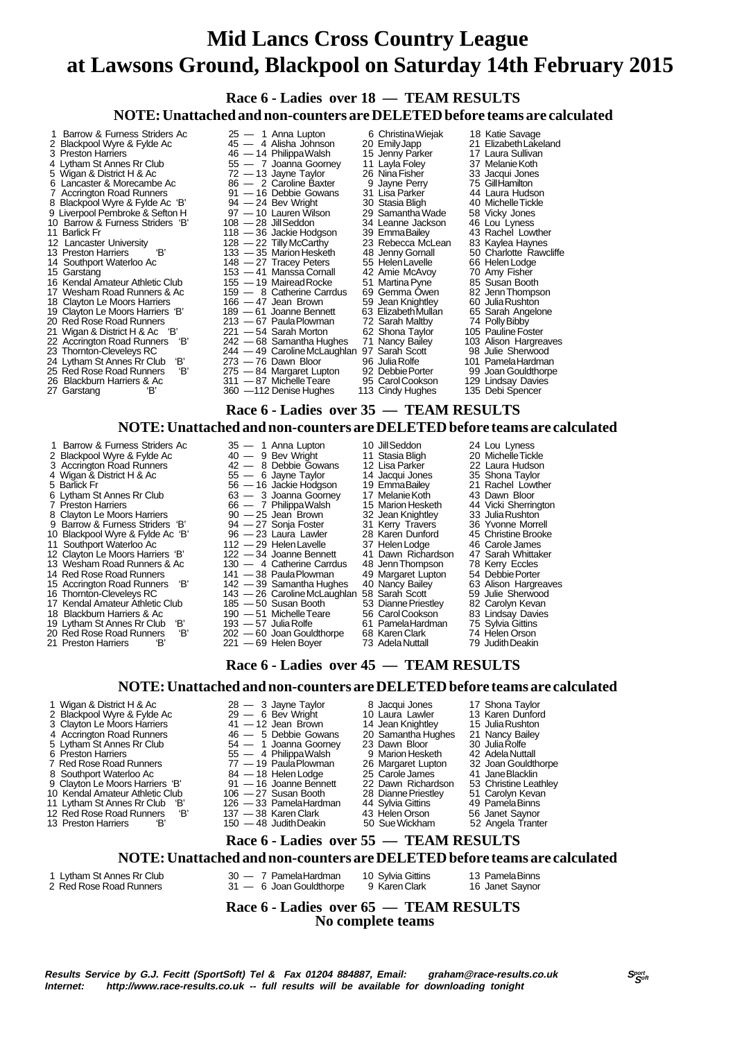**Race 6 - Ladies over 18 — TEAM RESULTS NOTE: Unattached and non-counters are DELETED before teams are calculated**

1 Barrow & Furness Striders Ac 25 — 1 Anna Lupton 6 Christina Wiejak 18 Katie Savage<br>2 Blackpool Wyre & Fylde Ac 3 45 — 4 Alisha Johnson 20 Emily Japp 21 Elizabeth Lakeland 2 Blackpool Wyre & Fylde Ac  $\begin{array}{l} 45 - 4 \text{ Alisha Johnson} \\ 20 \text{ EmilyJapp} \end{array}$  21 Elizabeth Lake<br>3 Preston Harriers  $\begin{array}{l} 46 - 14 \text{ Philippa Walsh} \\ 4 \text{ Uniifippa Walsh} \end{array}$  15 Jenny Parker 17 Laura Sullivan<br>4 Lytham St Annes Rr Club 55 - 7 Joanna G 3 Preston Harriers 46 — 14 Philippa Walsh 15 Jenny Parker 17 Laura Sullivan 4 Lytham St Annes Rr Club 55 — 7 Joanna Goorney 11 Layla Foley 37 Melanie Koth 5 Wigan & District H & Ac 72 — 13 Jayne Taylor 26 Nina Fisher 33 Jacqui Jones<br>6 Lancaster & Morecambe Ac 86 — 2 Caroline Baxter 9 Jayne Perry 75 Gill Hamilton 6 Lancaster & Morecambe Ac 86 — 2 Caroline Baxter 9 Jayne Perry 75 Gill Hamilton<br>7 Accrington Road Runners 91 — 16 Debbie Gowans 31 Lisa Parker 44 Laura Hudson 91 — 16 Debbie Gowans 31 Lisa Parker 44 Laura Hudsor<br>94 — 24 Bev Wright 30 Stasia Bligh 40 Michelle Tickle<br>97 — 10 Lauren Wilson 29 Samantha Wade 58 Vicky Jones 8 Blackpool Wyre & Fylde Ac 'B' 94 - 24 Bev Wright 30 Stasia Bligh 40 Michelle Tick<br>9 Liverpool Pembroke & Sefton H 97 - 10 Lauren Wilson 29 Samantha Wade 58 Vicky Jones 9 Liverpool Pembroke & Sefton H 97 — 10 Lauren Wilson 29 Samantha Wade 58 Vicky Jones<br>10 Barrow & Furness Striders 'B' 108 — 28 Jill Seddon 34 Leanne Jackson 46 Lou Lyness<br>11 Barlick Fr 118 — 36 Jackie Hodgson 39 EmmaBaile 10 Barrow & Furness Striders 'B' 108 - 28 Jill Seddon 34 Leanne Jackson 34 Leanne Jackson 34 Leanne Jackson 46 Louis 118 - 36 Jackie Hodgson 39 Emma Bailey 11 Barlick Fr 118 Contract Trumber 118 - 36 Jackie Hodgson 39 Emma Bailey 43 Rachel Lowther<br>12 Lancaster University 128 - 22 Tilly McCarthy 23 Rebecca McLean 83 Kaylea Haynes 12 Lancaster University 128 — 22 Tilly McCarthy 23 Rebecca McLean 83 Kaylea Haynes<br>13 Preston Harriers 18 133 — 35 Marion Hesketh 48 Jenny Gornall 50 Charlotte Rawcliffe 13 Preston Harriers (B' 133 — 35 Marion Hesketh 148 Jenny Gornall 50 Charlotte Rawcliffe<br>14 Southport Waterloo Ac 148 — 27 Tracey Peters 55 Helen Lavelle 66 Helen Lodge 15 Garstang 153 — 41 Manssa Cornall 42 Amie McAvoy 70 Amy Fisher 16 Kendal Amateur Athletic Club 155 — 19 Mairead Rocke 51 Martina Pyne 85 Susan Booth 16 Kendal Amateur Athletic Club 155 — 19 Mairead Rocke 51 Martina Pyne 85 Susan Booth<br>17 Wesham Road Runners & Ac 159 — 8 Catherine Carrdus 69 Gemma Owen 82 Jenn Thompson<br>18 Clayton Le Moors Harriers 166 — 47 Jean Brown 59 18 Clayton Le Moors Harriers 166 — 47 Jean Brown 59 Jean Knightley 60 Julia Rushton<br>19 Clayton Le Moors Harriers 167 189 — 61 Joanne Bennett 63 Elizabeth Mullan 65 Sarah Angelone<br>20 Red Rose Road Runners 213 — 67 Paula Plo 19 Clayton Le Moors Harriers 'B' 189 — 61 Joanne Bennett 63 Elizabeth Mullan 65 Sarah Maltby<br>Red Rose Road Runners 213 — 67 Paula Plowman 72 Sarah Maltby 20 Red Rose Road Runners 213 — 67 Paula Plowman 22 Sarah Maltby 74 Polly Bibby<br>21 Wigan & District H & Ac 'B' 221 — 54 Sarah Morton 62 Shona Taylor 105 Pauline Foster 21 Wigan & District H & Ac 'B' 221 - 54 Sarah Morton 62 Shona Taylor 105 Pauline Foster<br>22 Accrington Road Runners 'B' 242 - 68 Samantha Hughes 71 Nancy Bailey 103 Alison Hargreaves<br>23 Thomton-Clevelevs RC 244 - 49 Carolin 22 Accrington Road Runners 'B'<br>23 Thornton-Cleveleys RC <sup>244</sup> Thomas Caroline McLaughlan 97 Sarah Scott 98 Julie Sherwood<br>
23 The Dawn Bloor 96 Julia Rolfe 901 Pamela Hardman 24 Lytham St Annes Rr Club 'B' 273 - 76 Dawn Bloor 96 Julia Rolfe 101 Pamela Hardman<br>25 Red Rose Road Runners 'B' 275 - 84 Margaret Lupton 92 Debbie Porter 99 Joan Gouldthorpe 275 — 84 Margaret Lupton 92 Debbie Porter 99 Joan Gouldthorp<br>311 — 87 Michelle Teare 95 Carol Cookson 129 Lindsay Davies 26 Blackburn Harriers & Ac 311 — 87 Michelle Teare 95 Carol Cookson 129 Lindsay Davie<br>27 Garstang 'B' 360 — 112 Denise Hughes 113 Cindy Hughes 135 Debi Spencer 360 —112 Denise Hughes

 **Race 6 - Ladies over 35 — TEAM RESULTS**

- 
- 
- 14 Red Rose Road Runners<br>15 Accrington Road Runners<br>16 Thomton-Cleveleys RC
- 
- 
- 
- 
- 
- 
- 
- **NOTE: Unattached and non-counters are DELETED before teams are calculated** 1 Barrow & Furness Striders Ac 35 - 1 Anna Lupton 10 Jill Seddon 24 Lou Lyness<br>
Blackpool Wyre & Fylde Ac 36 - 40 - 9 Bev Wright 11 Stasia Bligh 20 Michelle Tickle<br>
Accrington Road Runners 42 - 8 Debbie Gowans 12 Lisa Park 2 Blackpool Wyre & Fylde Ac  $40 - 9$  Bev Wright 11 Stasia Bligh 20 Michelle Tickle 3 Accrington Road Runners 42 — 8 Debbie Gowans 12 Lisa Parker 22 Laura Hudson 4 Wigan & District H & Ac 55 — 6 Jayne Taylor 14 Jacqui Jones 55 Shona Taylor<br>5 Barlick Fr 55 — 6 Jayne Taylor 14 Jacqui Jones 35 Shona Taylor<br>5 Barlick Fr 5 — 16 Jackie Hodgson 19 Emma Bailey 21 Rachel Lowther 5 Barlick Fr 56 — 16 Jackie Hodgson 19 Emma Bailey 21 Rachel Lowther St Annes Rr Club<br>
6 Sa — 3 Joanna Goorney 17 Melanie Koth 43 Dawn Bloor 6 Lytham St Annes Rr Club  $63 - 3$  Joanna Goorney 17 Melanie Koth 43 Danna Bloom Bloom Bloom Bloom Bloom Bloom Bloom Bloom Bloom Bloom Bloom Bloom Bloom Bloom Bloom Bloom Bloom Bloom Bloom Bloom Bloom Bloom Bloom Bloom Bloo  $\begin{array}{lll} 66 & -7 & \text{PhilippaWalsh} \\ 90 & -25 & \text{Jean Brown} \\ 94 & -27 & \text{Sonja Foster} \\ \end{array} \qquad \begin{array}{lll} 15 & \text{Marion Hesketh} \\ 32 & \text{Jean Knightley} \\ 31 & \text{Kerry Travers} \end{array} \qquad \begin{array}{lll} 33 & \text{Julia Rushton} \\ 36 & \text{Yvonne Morrell} \\ \end{array}$ 8 Clayton Le Moors Harriers 90 — 25 Jean Brown 32 Jean Knightley 33 Julia Rushton 9 Barrow & Furness Striders 'B' 94 - 27 Sonja Foster 31 Kerry Travers 36 Yvonne Morrell 10 Blackpool Wyre & Fylde Ac 'B' 96 — 23 Laura Lawler 28 Karen Dunford 45 Christine Brooke<br>11 Southport Waterloo Ac 112 — 29 Helen Lavelle 37 Helen Lodge 46 Carole James 11 Southport Waterloo Ac 112 — 29 Helen Lavelle 37 Helen Lodge 46 Carole James<br>12 Clayton Le Moors Harriers 'B' 122 — 34 Joanne Bennett 41 Dawn Richardson 47 Sarah Whittaker 12 Clayton Le Moors Harriers 'B' 122 - 34 Joanne Bennett 41 Dawn Richardson 47 Sarah Whitta<br>13 Wesham Road Runners & Ac 130 - 4 Catherine Carrdus 48 Jenn Thompson 78 Kerry Eccles 13 Wesham Road Runners & Ac 130 — 4 Catherine Carrdus 48 Jenn Thompson 78 Kerry Eccles<br>14 Red Rose Road Runners 141 — 38 Paula Plowman 49 Margaret Lupton 54 Debbie Porter 14 Red Rose Rose Road Runners 2008 141 - 38 Paula Plowman 49 Margaret Lupton 54 Debbie Porter<br>
142 - 39 Samantha Hughes 40 Nancy Bailey 63 Alison Hargreaves<br>
143 - 26 Caroline McLaughlan 58 Sarah Scott 59 Julie Sherwood 16 Thornton-Cleveleys RC 143 — 26 Caroline McLaughlan 58 Sarah Scott 59 Julie Sherwood<br>17 Kendal Amateur Athletic Club 185 — 50 Susan Booth 53 Dianne Priestley 82 Carolyn Kevan 17 Kendal Amateur Athletic Club 185 — 50 Susan Booth 53 Dianne Priestley 82 Carolyn Kevan 18 Blackburn Harriers & Ac 190 — 51 Michelle Teare 56 Carol Cookson 83 Lindsay David 18 Blackburn Harriers & Ac 190 — 51 Michelle Teare 56 Carol Cookson 83 Lindsay David Lytham St Annes Rr Club 'B' 193 — 57 Julia Rolfe 61 Pamela Hardman 75 Sylvia Gittins<br>
Red Rose Road Runners 'B' 202 — 60 Joan Gouldthorpe 68 Karen Clark 74 Helen Orson<br>
Preston Harriers 'B' 221 — 69 Helen Bover 73 Adela Nu 20 Red Rose Road Runners 'B' 202 — 60 Joan Gouldthorpe 68 Karen Clark<br>21 Preston Harriers 'B' 221 — 69 Helen Boyer 73 Adela Nuttall
	- 22 Dreston Boyer
	-
- 

### **Race 6 - Ladies over 45 — TEAM RESULTS**

#### **NOTE: Unattached and non-counters are DELETED before teams are calculated**

1 Wigan & District H & Ac 28 — 3 Jayne Taylor 8 Jacqui Jones 17 Shona Taylor

- 
- 
- 
- 
- 
- 
- 
- 
- 
- 
- 
- 12 Red Rose Road Runners 12 137 38 Karen Clark 43 Helen Orson 56 Janet Saynor<br>13 Preston Harriers 18' 150 48 Judith Deakin 50 Sue Wickham 52 Angela Tranter  $150 - 48$  Judith Deakin
- 2 Blackpool Wyre & Fylde Ac 29 6 Bev Wright 10 Laura Lawler 13 Karen Dunford 3 Clayton Le Moors Harriers 41 12 Jean Brown 14 Jean Knightley 15 Julia Rushton 4 Accrington Road Runners 46 — 5 Debbie Gowans 20 Samantha Hughes 21 Nancy Bailey<br>5 Lytham St Annes Rr Club 54 — 1 Joanna Goomey 23 Dawn Bloor 30 Julia Rolfe 5 Lytham St Annes Rr Club 54 — 1 Joanna Goorney 23 Dawn Bloor 30 Julia Rolfe 6 Preston Harriers 55 — 4 Philippa Walsh 9 Marion Hesketh 42 Adela Nuttall 7 Red Rose Road Runners 77 — 19 Paula Plowman 26 Margaret Lupton 32 Joan Gouldthorpe 8 Southport Waterloo Ac 684 — 18 Helen Lodge 25 Carole James 41 Jane Blacklin 9 Clayton Le Moors Harriers 'B' 91 - 16 Joanne Bennett 22 Dawn Richardson 53 Christine Leathley<br>10 Kendal Amateur Athletic Club 106 - 27 Susan Booth 28 Dianne Priestley 51 Carolyn Kevan<br>11 Lytham St Annes Rr Club 'B' 126 -10 Kendal Amateur Athletic Club 106 — 27 Susan Booth 28 Dianne Priestle<br>11 Lytham St Annes Rr Club 18' 126 — 33 Pamela Hardman 44 Sylvia Gittins 11 11 11 12 Diamne Priestley<br>
11 126 — 33 Pamela Hardman 44 Sylvia Gittins 49 Pamela Binns<br>
11 137 — 38 Karen Clark 43 Helen Orson 56 Janet Saynor
	-
	-
	- **Race 6 Ladies over 55 TEAM RESULTS**

#### **NOTE: Unattached and non-counters are DELETED before teams are calculated**

1 Lytham St Annes Rr Club 30 — 7 Pamela Hardman 10 Sylvia Gittins 13 Pamela Binns 2 Red Rose Road Runners 31 — 6 Joan Gouldthorpe 9 Karen Clark 16 Janet Saynor

 **Race 6 - Ladies over 65 — TEAM RESULTS No complete teams**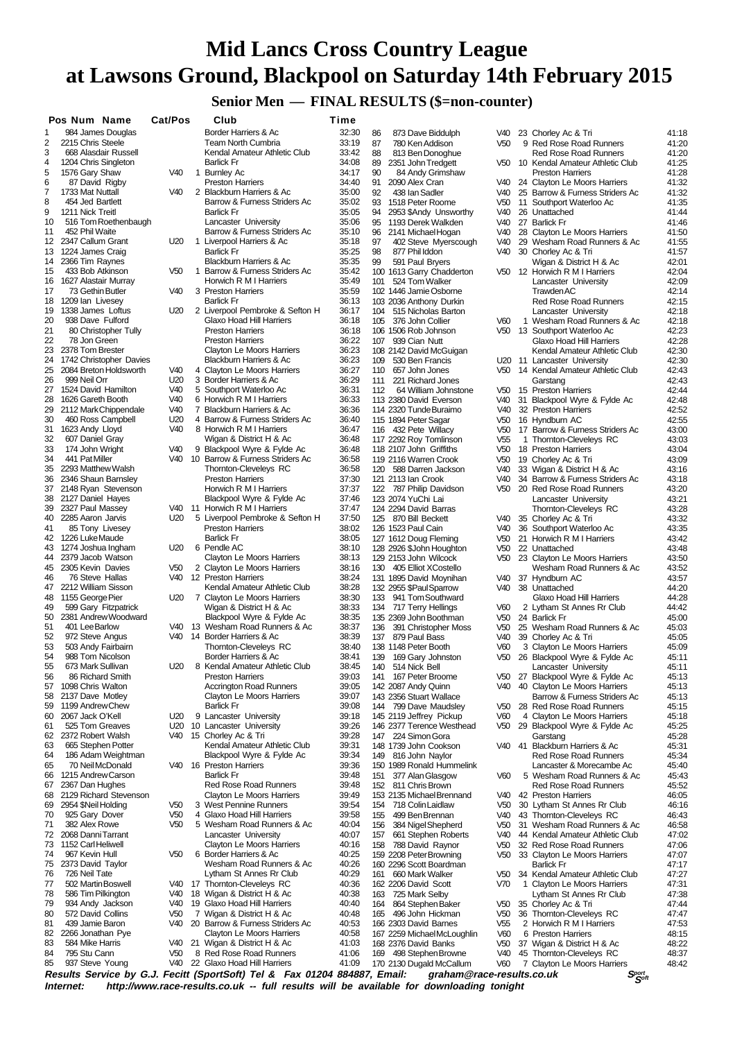# **Senior Men — FINAL RESULTS (\$=non-counter)**

|          | Pos Num Name                              | Cat/Pos         | Club                                                                      | Time           |            |                                                      |                                    |              |                                                             |                |
|----------|-------------------------------------------|-----------------|---------------------------------------------------------------------------|----------------|------------|------------------------------------------------------|------------------------------------|--------------|-------------------------------------------------------------|----------------|
| 1        | 984 James Douglas                         |                 | Border Harriers & Ac                                                      | 32:30          | 86         | 873 Dave Biddulph                                    | V40                                |              | 23 Chorley Ac & Tri                                         | 41:18          |
| 2        | 2215 Chris Steele                         |                 | <b>Team North Cumbria</b>                                                 | 33:19          | 87         | 780 Ken Addison                                      | V <sub>50</sub>                    |              | 9 Red Rose Road Runners                                     | 41:20          |
| 3        | 668 Alasdair Russell                      |                 | Kendal Amateur Athletic Club                                              | 33:42          | 88         | 813 Ben Donoghue                                     |                                    |              | <b>Red Rose Road Runners</b>                                | 41:20          |
| 4        | 1204 Chris Singleton                      |                 | <b>Barlick Fr</b>                                                         | 34:08          | 89         | 2351 John Tredgett                                   | V50                                |              | 10 Kendal Amateur Athletic Club                             | 41:25          |
| 5<br>6   | 1576 Gary Shaw<br>87 David Rigby          | V40             | 1 Burnley Ac<br><b>Preston Harriers</b>                                   | 34:17<br>34:40 | 90<br>91   | 84 Andy Grimshaw<br>2090 Alex Cran                   | V40                                |              | <b>Preston Harriers</b><br>24 Clayton Le Moors Harriers     | 41:28<br>41:32 |
| 7        | 1733 Mat Nuttall                          | V40             | 2 Blackburn Harriers & Ac                                                 | 35:00          | 92         | 438 Ian Sadler                                       | V40                                |              | 25 Barrow & Furness Striders Ac                             | 41:32          |
| 8        | 454 Jed Bartlett                          |                 | Barrow & Furness Striders Ac                                              | 35:02          | 93         | 1518 Peter Roome                                     | V <sub>50</sub>                    | 11           | Southport Waterloo Ac                                       | 41:35          |
| 9        | 1211 Nick Treitl                          |                 | <b>Barlick Fr</b>                                                         | 35:05          | 94         | 2953 \$Andy Unsworthy                                | V40                                |              | 26 Unattached                                               | 41:44          |
| 10       | 516 Tom Roethenbaugh                      |                 | Lancaster University                                                      | 35:06          | 95         | 1193 Derek Walkden                                   | V40                                |              | 27 Barlick Fr                                               | 41:46          |
| 11       | 452 Phil Waite<br>2347 Callum Grant       | U <sub>20</sub> | Barrow & Furness Striders Ac<br>1 Liverpool Harriers & Ac                 | 35:10<br>35:18 | 96         | 2141 Michael Hogan                                   | V40                                | 28           | Clayton Le Moors Harriers                                   | 41:50          |
| 12       | 13 1224 James Craig                       |                 | <b>Barlick Fr</b>                                                         | 35:25          | 97<br>98   | 402 Steve Myerscough<br>877 Phil Iddon               | V40<br>V40                         | 29           | Wesham Road Runners & Ac<br>30 Chorley Ac & Tri             | 41:55<br>41:57 |
| 14       | 2366 Tim Raynes                           |                 | Blackburn Harriers & Ac                                                   | 35:35          | 99         | 591 Paul Bryers                                      |                                    |              | Wigan & District H & Ac                                     | 42:01          |
| 15       | 433 Bob Atkinson                          | V <sub>50</sub> | 1 Barrow & Furness Striders Ac                                            | 35:42          |            | 100 1613 Garry Chadderton                            |                                    |              | V50 12 Horwich R M I Harriers                               | 42:04          |
| 16       | 1627 Alastair Murray                      |                 | Horwich R M I Harriers                                                    | 35:49          | 101        | 524 Tom Walker                                       |                                    |              | Lancaster University                                        | 42:09          |
| 17       | 73 Gethin Butler                          | V40             | 3 Preston Harriers                                                        | 35:59          |            | 102 1446 Jamie Osborne                               |                                    |              | <b>Trawden AC</b>                                           | 42:14          |
| 18<br>19 | 1209 Ian Livesey<br>1338 James Loftus     | U20             | <b>Barlick Fr</b><br>2 Liverpool Pembroke & Sefton H                      | 36:13<br>36:17 | 104        | 103 2036 Anthony Durkin                              |                                    |              | <b>Red Rose Road Runners</b>                                | 42:15          |
| 20       | 938 Dave Fulford                          |                 | Glaxo Hoad Hill Harriers                                                  | 36:18          | 105        | 515 Nicholas Barton<br>376 John Collier              | V60                                |              | Lancaster University<br>1 Wesham Road Runners & Ac          | 42:18<br>42:18 |
| 21       | 80 Christopher Tully                      |                 | <b>Preston Harriers</b>                                                   | 36:18          |            | 106 1506 Rob Johnson                                 | V50                                |              | 13 Southport Waterloo Ac                                    | 42:23          |
| 22       | 78 Jon Green                              |                 | <b>Preston Harriers</b>                                                   | 36:22          |            | 107 939 Cian Nutt                                    |                                    |              | Glaxo Hoad Hill Harriers                                    | 42:28          |
| 23       | 2378 Tom Brester                          |                 | <b>Clayton Le Moors Harriers</b>                                          | 36:23          |            | 108 2142 David McGuigan                              |                                    |              | Kendal Amateur Athletic Club                                | 42:30          |
| 24       | 1742 Christopher Davies                   |                 | Blackburn Harriers & Ac                                                   | 36:23          | 109        | 530 Ben Francis                                      |                                    |              | U20 11 Lancaster University                                 | 42:30          |
| 25<br>26 | 2084 Breton Holdsworth<br>999 Neil Orr    | V40<br>U20      | 4 Clayton Le Moors Harriers                                               | 36:27<br>36:29 | 110        | 657 John Jones<br>221 Richard Jones                  | V50                                |              | 14 Kendal Amateur Athletic Club                             | 42:43          |
| 27       | 1524 David Hamilton                       | V <sub>40</sub> | 3 Border Harriers & Ac<br>5 Southport Waterloo Ac                         | 36:31          | 111<br>112 | 64 William Johnstone                                 | V50                                |              | Garstang<br>15 Preston Harriers                             | 42:43<br>42:44 |
| 28       | 1626 Gareth Booth                         | V40             | 6 Horwich R M I Harriers                                                  | 36:33          |            | 113 2380 David Everson                               | V40                                |              | 31 Blackpool Wyre & Fylde Ac                                | 42:48          |
| 29       | 2112 Mark Chippendale                     | V40             | 7 Blackburn Harriers & Ac                                                 | 36:36          |            | 114 2320 Tunde Buraimo                               | V <sub>40</sub>                    |              | 32 Preston Harriers                                         | 42:52          |
| 30       | 460 Ross Campbell                         | U20             | 4 Barrow & Furness Striders Ac                                            | 36:40          |            | 115 1894 Peter Sagar                                 | V <sub>50</sub>                    |              | 16 Hyndburn AC                                              | 42:55          |
| 31       | 1623 Andy Lloyd                           | V40             | 8 Horwich R M I Harriers                                                  | 36:47          |            | 116 432 Pete Willacy                                 | V50                                |              | 17 Barrow & Furness Striders Ac                             | 43:00          |
| 32       | 607 Daniel Gray                           |                 | Wigan & District H & Ac                                                   | 36:48          |            | 117 2292 Roy Tomlinson                               | V <sub>55</sub>                    | $\mathbf{1}$ | Thornton-Cleveleys RC                                       | 43:03          |
| 33<br>34 | 174 John Wright<br>441 Pat Miller         | V40<br>V40      | 9 Blackpool Wyre & Fylde Ac<br>10 Barrow & Furness Striders Ac            | 36:48<br>36:58 |            | 118 2107 John Griffiths<br>119 2116 Warren Crook     | V <sub>50</sub><br>V <sub>50</sub> |              | 18 Preston Harriers<br>19 Chorley Ac & Tri                  | 43:04<br>43:09 |
| 35       | 2293 Matthew Walsh                        |                 | Thornton-Cleveleys RC                                                     | 36:58          | 120        | 588 Darren Jackson                                   | V40                                |              | 33 Wigan & District H & Ac                                  | 43:16          |
| 36       | 2346 Shaun Barnsley                       |                 | <b>Preston Harriers</b>                                                   | 37:30          |            | 121 2113 Ian Crook                                   | V40                                |              | 34 Barrow & Furness Striders Ac                             | 43:18          |
| 37       | 2148 Ryan Stevenson                       |                 | Horwich R M I Harriers                                                    | 37:37          |            | 122 787 Philip Davidson                              | V <sub>50</sub>                    |              | 20 Red Rose Road Runners                                    | 43:20          |
| 38       | 2127 Daniel Hayes                         |                 | Blackpool Wyre & Fylde Ac                                                 | 37:46          |            | 123 2074 YuChi Lai                                   |                                    |              | Lancaster University                                        | 43:21          |
| 39       | 2327 Paul Massey                          | V40             | 11 Horwich R M I Harriers                                                 | 37:47          |            | 124 2294 David Barras                                |                                    |              | Thornton-Cleveleys RC                                       | 43:28          |
| 40<br>41 | 2285 Aaron Jarvis<br>85 Tony Livesey      | U20             | 5 Liverpool Pembroke & Sefton H<br><b>Preston Harriers</b>                | 37:50<br>38:02 |            | 125 870 Bill Beckett<br>126 1523 Paul Cain           | V40<br>V <sub>40</sub>             | 36           | 35 Chorley Ac & Tri<br>Southport Waterloo Ac                | 43:32<br>43:35 |
| 42       | 1226 Luke Maude                           |                 | <b>Barlick Fr</b>                                                         | 38:05          |            | 127 1612 Doug Fleming                                | V <sub>50</sub>                    |              | 21 Horwich R M I Harriers                                   | 43:42          |
| 43       | 1274 Joshua Ingham                        | U20             | 6 Pendle AC                                                               | 38:10          |            | 128 2926 \$John Houghton                             | V <sub>50</sub>                    |              | 22 Unattached                                               | 43:48          |
| 44       | 2379 Jacob Watson                         |                 | <b>Clayton Le Moors Harriers</b>                                          | 38:13          |            | 129 2153 John Wilcock                                | V <sub>50</sub>                    |              | 23 Clayton Le Moors Harriers                                | 43:50          |
| 45       | 2305 Kevin Davies                         | V <sub>50</sub> | 2 Clayton Le Moors Harriers                                               | 38:16          |            | 130 405 Elliot XCostello                             |                                    |              | Wesham Road Runners & Ac                                    | 43:52          |
| 46       | 76 Steve Hallas                           | V40             | 12 Preston Harriers                                                       | 38:24          |            | 131 1895 David Moynihan                              | V40                                |              | 37 Hyndburn AC                                              | 43:57          |
| 47<br>48 | 2212 William Sisson<br>1155 George Pier   | U20             | Kendal Amateur Athletic Club<br>7 Clayton Le Moors Harriers               | 38:28<br>38:30 | 133        | 132 2955 \$Paul Sparrow<br>941 Tom Southward         | V40                                |              | 38 Unattached<br>Glaxo Hoad Hill Harriers                   | 44:20<br>44:28 |
| 49       | 599 Gary Fitzpatrick                      |                 | Wigan & District H & Ac                                                   | 38:33          |            | 134 717 Terry Hellings                               | V60                                |              | 2 Lytham St Annes Rr Club                                   | 44:42          |
| 50       | 2381 Andrew Woodward                      |                 | Blackpool Wyre & Fylde Ac                                                 | 38:35          |            | 135 2369 John Boothman                               | V50                                |              | 24 Barlick Fr                                               | 45:00          |
| 51       | 401 Lee Barlow                            | V40             | 13 Wesham Road Runners & Ac                                               | 38:37          | 136        | 391 Christopher Moss                                 | V <sub>50</sub>                    |              | 25 Wesham Road Runners & Ac                                 | 45:03          |
| 52       | 972 Steve Angus                           | V40             | 14 Border Harriers & Ac                                                   | 38:39          | 137        | 879 Paul Bass                                        | V40                                |              | 39 Chorley Ac & Tri                                         | 45:05          |
| 53<br>54 | 503 Andy Fairbairn<br>988 Tom Nicolson    |                 | Thornton-Cleveleys RC<br>Border Harriers & Ac                             | 38:40<br>38:41 |            | 138 1148 Peter Booth                                 | V60                                |              | 3 Clayton Le Moors Harriers                                 | 45:09          |
| 55       | 673 Mark Sullivan                         | U20             | 8 Kendal Amateur Athletic Club                                            | 38:45          | 139<br>140 | 169 Gary Johnston<br>514 Nick Bell                   | V50                                |              | 26 Blackpool Wyre & Fylde Ac<br>Lancaster University        | 45:11<br>45:11 |
| 56       | 86 Richard Smith                          |                 | <b>Preston Harriers</b>                                                   | 39:03          | 141        | 167 Peter Broome                                     | V50                                |              | 27 Blackpool Wyre & Fylde Ac                                | 45:13          |
| 57       | 1098 Chris Walton                         |                 | <b>Accrington Road Runners</b>                                            | 39:05          |            | 142 2087 Andy Quinn                                  | V40                                |              | 40 Clayton Le Moors Harriers                                | 45:13          |
| 58       | 2137 Dave Motley                          |                 | <b>Clayton Le Moors Harriers</b>                                          | 39:07          |            | 143 2356 Stuart Wallace                              |                                    |              | Barrow & Furness Striders Ac                                | 45:13          |
| 59       | 1199 Andrew Chew                          |                 | <b>Barlick Fr</b>                                                         | 39:08          | 144        | 799 Dave Maudsley                                    | V <sub>50</sub>                    |              | 28 Red Rose Road Runners                                    | 45:15          |
| 60<br>61 | 2067 Jack O'Kell<br>525 Tom Greaves       | U20<br>U20      | 9 Lancaster University<br>10 Lancaster University                         | 39:18<br>39:26 |            | 145 2119 Jeffrey Pickup<br>146 2377 Terence Westhead | V60<br>V50                         |              | 4 Clayton Le Moors Harriers<br>29 Blackpool Wyre & Fylde Ac | 45:18<br>45:25 |
| 62       | 2372 Robert Walsh                         | V40             | 15 Chorley Ac & Tri                                                       | 39:28          | 147        | 224 Simon Gora                                       |                                    |              | Garstang                                                    | 45:28          |
| 63       | 665 Stephen Potter                        |                 | Kendal Amateur Athletic Club                                              | 39:31          |            | 148 1739 John Cookson                                |                                    |              | V40 41 Blackburn Harriers & Ac                              | 45:31          |
| 64       | 186 Adam Weightman                        |                 | Blackpool Wyre & Fylde Ac                                                 | 39:34          | 149        | 816 John Naylor                                      |                                    |              | <b>Red Rose Road Runners</b>                                | 45:34          |
| 65       | 70 Neil McDonald                          |                 | V40 16 Preston Harriers                                                   | 39:36          |            | 150 1989 Ronald Hummelink                            |                                    |              | Lancaster & Morecambe Ac                                    | 45:40          |
| 66       | 1215 Andrew Carson                        |                 | <b>Barlick Fr</b>                                                         | 39:48          | 151        | 377 Alan Glasgow                                     | V60                                |              | 5 Wesham Road Runners & Ac                                  | 45:43          |
| 67<br>68 | 2367 Dan Hughes<br>2129 Richard Stevenson |                 | <b>Red Rose Road Runners</b><br>Clayton Le Moors Harriers                 | 39:48<br>39:49 | 152        | 811 Chris Brown<br>153 2135 Michael Brennand         | V40                                |              | <b>Red Rose Road Runners</b><br>42 Preston Harriers         | 45:52<br>46:05 |
| 69       | 2954 \$Neil Holding                       | V <sub>50</sub> | 3 West Pennine Runners                                                    | 39:54          | 154        | 718 Colin Laidlaw                                    | V <sub>50</sub>                    |              | 30 Lytham St Annes Rr Club                                  | 46:16          |
| 70       | 925 Gary Dover                            | V <sub>50</sub> | 4 Glaxo Hoad Hill Harriers                                                | 39:58          | 155        | 499 Ben Brennan                                      | V40                                |              | 43 Thomton-Cleveleys RC                                     | 46:43          |
| 71       | 382 Alex Rowe                             | V <sub>50</sub> | 5 Wesham Road Runners & Ac                                                | 40:04          | 156        | 384 Nigel Shepherd                                   | V <sub>50</sub>                    |              | 31 Wesham Road Runners & Ac                                 | 46:58          |
| 72       | 2068 Danni Tarrant                        |                 | Lancaster University                                                      | 40:07          | 157        | 661 Stephen Roberts                                  | V40                                |              | 44 Kendal Amateur Athletic Club                             | 47:02          |
| 73       | 1152 Carl Heliwell                        |                 | <b>Clayton Le Moors Harriers</b>                                          | 40:16          | 158        | 788 David Raynor                                     | V50                                |              | 32 Red Rose Road Runners                                    | 47:06          |
| 74       | 967 Kevin Hull                            | V <sub>50</sub> | 6 Border Harriers & Ac                                                    | 40:25<br>40:26 |            | 159 2208 Peter Browning                              | V <sub>50</sub>                    |              | 33 Clayton Le Moors Harriers                                | 47:07          |
| 75<br>76 | 2373 David Taylor<br>726 Neil Tate        |                 | Wesham Road Runners & Ac<br>Lytham St Annes Rr Club                       | 40:29          | 161        | 160 2296 Scott Boardman<br>660 Mark Walker           | V <sub>50</sub>                    |              | <b>Barlick Fr</b><br>34 Kendal Amateur Athletic Club        | 47:17<br>47:27 |
| 77       | 502 Martin Boswell                        | V40             | 17 Thornton-Cleveleys RC                                                  | 40:36          |            | 162 2206 David Scott                                 | V70                                |              | 1 Clayton Le Moors Harriers                                 | 47:31          |
| 78       | 586 Tim Pilkington                        | V40             | 18 Wigan & District H & Ac                                                | 40:38          | 163        | 725 Mark Selby                                       |                                    |              | Lytham St Annes Rr Club                                     | 47:38          |
| 79       | 934 Andy Jackson                          | V40             | 19 Glaxo Hoad Hill Harriers                                               | 40:40          | 164        | 864 Stephen Baker                                    | V50                                |              | 35 Chorley Ac & Tri                                         | 47:44          |
| 80       | 572 David Collins                         | V <sub>50</sub> | 7 Wigan & District H & Ac                                                 | 40:48          | 165        | 496 John Hickman                                     | V <sub>50</sub>                    |              | 36 Thornton-Cleveleys RC                                    | 47:47          |
| 81       | 439 Jamie Baron                           | V40             | 20 Barrow & Furness Striders Ac                                           | 40:53          |            | 166 2303 David Barnes                                | V <sub>55</sub>                    |              | 2 Horwich R M I Harriers                                    | 47:53          |
| 82<br>83 | 2266 Jonathan Pye<br>584 Mike Harris      | V40             | Clayton Le Moors Harriers<br>21 Wigan & District H & Ac                   | 40:58<br>41:03 |            | 167 2259 Michael McLoughlin<br>168 2376 David Banks  | V60<br>V <sub>50</sub>             |              | 6 Preston Harriers<br>37 Wigan & District H & Ac            | 48:15<br>48:22 |
| 84       | 795 Stu Cann                              | V <sub>50</sub> | 8 Red Rose Road Runners                                                   | 41:06          | 169        | 498 Stephen Browne                                   | V40                                |              | 45 Thornton-Cleveleys RC                                    | 48:37          |
| 85       | 937 Steve Young                           | V40             | 22 Glaxo Hoad Hill Harriers                                               | 41:09          |            | 170 2130 Dugald McCallum                             | V60                                |              | 7 Clayton Le Moors Harriers                                 | 48:42          |
|          |                                           |                 | Results Service by G.J. Fecitt (SportSoft) Tel & Fax 01204 884887, Email: |                |            | araham@race-results.co.uk                            |                                    |              | Sport                                                       |                |

Results Service by G.J. Fecitt (SportSoft) Tel & Fax 01204 884887, Email: graham@race-results.co.uk Sഞ്ഞ<br>Internet: http://www.race-results.co.uk -- full results will be available for downloading tonight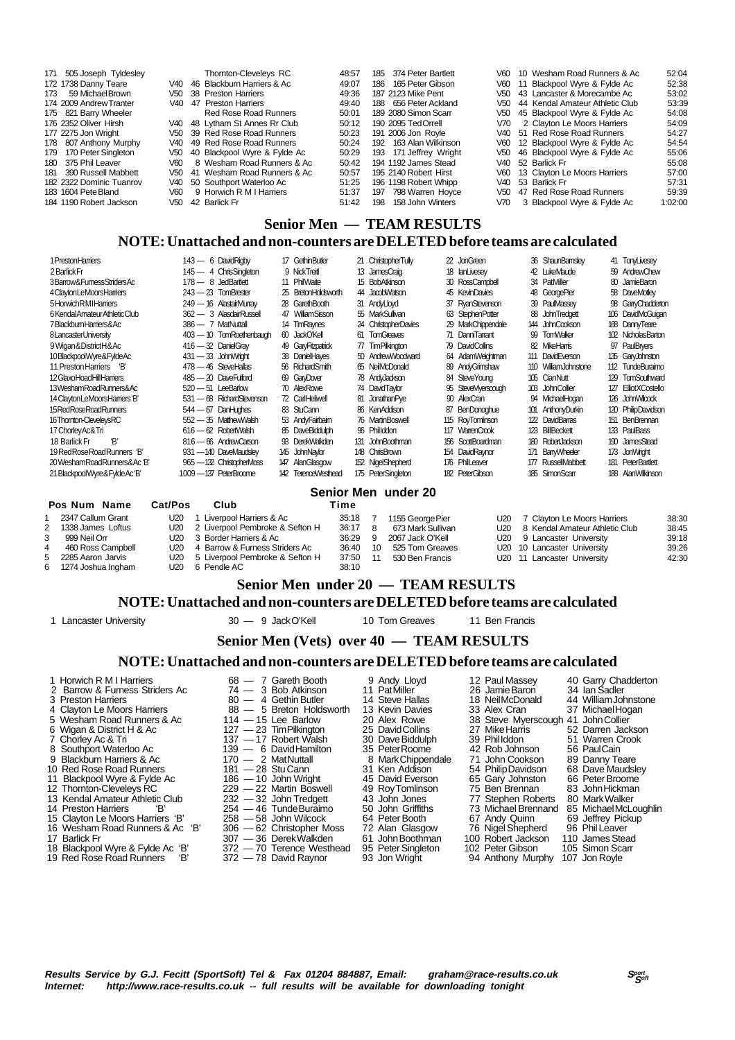| 171 505 Joseph Tyldesley |       | Thornton-Cleveleys RC                    | 48:57 |     | 185 374 Peter Bartlett |      | V60 10 Wesham Road Runners & Ac | 52:04   |
|--------------------------|-------|------------------------------------------|-------|-----|------------------------|------|---------------------------------|---------|
| 172 1738 Danny Teare     | V40.  | 46 Blackburn Harriers & Ac               | 49:07 | 186 | 165 Peter Gibson       | V60  | 11 Blackpool Wyre & Fylde Ac    | 52:38   |
| 59 Michael Brown<br>173  | V50   | 38 Preston Harriers                      | 49:36 |     | 187 2123 Mike Pent     |      | V50 43 Lancaster & Morecambe Ac | 53:02   |
| 174 2009 Andrew Tranter  | V40.  | 47 Preston Harriers                      | 49:40 |     | 188 656 Peter Ackland  | V50  | 44 Kendal Amateur Athletic Club | 53:39   |
| 175 821 Barry Wheeler    |       | Red Rose Road Runners                    | 50:01 |     | 189 2080 Simon Scarr   | V50  | 45 Blackpool Wyre & Fylde Ac    | 54:08   |
| 176 2352 Oliver Hirsh    |       | V40 48 Lytham St Annes Rr Club           | 50:12 |     | 190 2095 Ted Orrell    | V70  | 2 Clayton Le Moors Harriers     | 54:09   |
| 177 2275 Jon Wright      |       | V <sub>50</sub> 39 Red Rose Road Runners | 50:23 |     | 191 2006 Jon Rovle     |      | V40 51 Red Rose Road Runners    | 54:27   |
| 178 807 Anthony Murphy   | V40.  | 49 Red Rose Road Runners                 | 50:24 | 192 | 163 Alan Wilkinson     | V60  | 12 Blackpool Wyre & Fylde Ac    | 54:54   |
| 179 170 Peter Singleton  | V50.  | 40 Blackpool Wyre & Fylde Ac             | 50:29 |     | 193 171 Jeffrey Wright | V50  | 46 Blackpool Wyre & Fylde Ac    | 55:06   |
| 180 375 Phil Leaver      | V60 - | 8 Wesham Road Runners & Ac               | 50:42 |     | 194 1192 James Stead   |      | V40 52 Barlick Fr               | 55:08   |
| 181 390 Russell Mabbett  | V50.  | 41 Wesham Road Runners & Ac              | 50:57 |     | 195 2140 Robert Hirst  | V60  | 13 Clavton Le Moors Harriers    | 57:00   |
| 182 2322 Dominic Tuanrov | V40.  | 50 Southport Waterloo Ac                 | 51:25 |     | 196 1198 Robert Whipp  | V40. | 53 Barlick Fr                   | 57:31   |
| 183 1604 Pete Bland      | V60   | 9 Horwich R M I Harriers                 | 51:37 |     | 197 798 Warren Hoyce   | V50  | 47 Red Rose Road Runners        | 59:39   |
| 184 1190 Robert Jackson  | V50.  | 42 Barlick Fr                            | 51:42 | 198 | 158 John Winters       | V70  | 3 Blackpool Wyre & Fylde Ac     | 1:02:00 |
|                          |       |                                          |       |     |                        |      |                                 |         |

#### **Senior Men — TEAM RESULTS**

### **NOTE: Unattached and non-counters are DELETED before teams are calculated**

| 1 Preston Harriers              | 143 - 6 David Ridby       | 17 Gethin Butler    | 21 ChristopherTully        | 22 JonGreen          | 36 ShaunBamsley      | 41 TonyLivesey              |
|---------------------------------|---------------------------|---------------------|----------------------------|----------------------|----------------------|-----------------------------|
| 2 Barlick Fr                    | 145 - 4 ChrisSingleton    | 9 NickTreit         | 13 JamesCraig              | 18 IanLivesey        | 42 LukeMaude         | 59 AndrewChew               |
| 3Barrow&FumessStridersAc        | 178 - 8 JedBartlett       | 11 PhilWaite        | 15 BobAtkinson             | 30 RossCampbell      | 34 PatMiller         | 80 JamieBaron               |
| 4 Clayton LeMoors Harriers      | $243 - 23$ TomBrester     | 25 BretonHoldsworth | 44 Jacob Watson            | 45 KevinDavies       | 48 GeorgePier        | 58 DaveMotley               |
| 5 Horwich RMI Harriers          | 249 - 16 AlastairMurrav   | 28 GarethBooth      | 31 AndyLloyd               | 37 RyanStevenson     | 39 PaulMassey        | 98 GanyChadderton           |
| 6 Kendal Amateur Athletic Club  | 362 - 3 AlasdairRussell   | 47 WilliamSisson    | 55 MarkSullivan            | 63 StephenPotter     | 88 John Tredgett     | 106 DavidMcGuician          |
| 7BlackbumHamers&Ac              | 386 - 7 MatNuttall        | 14 TimRaynes        | 24 ChristopherDavies       | 29 MarkChippendale   | 144 JohnCookson      | 168 DannyTeare              |
| 8 Lancaster University          | 403 - 10 TomRoethenbaugh  | 60 JackO'Kell       | <b>TomGreaves</b><br>61    | 71 DanniTarrant      | 99 TomWalker         | 102 NicholasBarton          |
| 9 Wigan & District H & Ac       | $416 - 32$ DanielGrav     | 49 GarvFitzpatrick  | 77 TimPilkinaton           | 79 DavidCollins      | 82 MikeHarris        | 97 PaulBrvers               |
| 10 Blackpool Wyre& Fylde Ac     | 431 - 33 John Wright      | 38 DanielHayes      | 50 AndrewWoodward          | 64 AdamWeightman     | 111 DavidEverson     | 135 GaryJohnston            |
| 11 Preston Harriers 'B'         | 478 - 46 SteveHallas      | 56 RichardSmith     | 65 NeilMcDonald            | 89 AndyGrimshaw      | 110 WilliamJohnstone | 112 TundeBuraimo            |
| 12 Glaxo Hoad Hill Harriers     | 485 - 20 DaveFulford      | 69 GaryDover        | 78 AndyJackson             | 84 SteveYoung        | 105 CianNutt         | TomSouthward<br>129         |
| 13WeshamRoadRunners&Ac          | 520 - 51 LeeBarlow        | 70 AlexRowe         | 74 DavidTavlor             | 95 StevelViverscough | 103 John Collier     | 127 ElliotXCostello         |
| 14 Clayton LeMoors Harriers 'B' | 531 - 68 RichardStevenson | 72 CarlHeliwell     | <b>JonathanPve</b><br>81   | 90 AlexCran          | 94 MichaelHogan      | 126 John Wilcock            |
| 15 Red Rose Road Runners        | $544 - 67$ DanHughes      | 83 StuCann          | 86 KenAddison              | 87 BenDonoghue       | 101 AnthonyDurkin    | 120 PhilipDavidson          |
| 16Thomton-CleveleysRC           | 552 - 35 Matthew Walsh    | 53 AndyFairbaim     | 76 MartinBoswell           | 115 RoyTomlinson     | 122 DavidBarras      | 151 BenBrennan              |
| 17 Chorley Ac& Tri              | 616 - 62 RobertWalsh      | 85 DaveBiddulph     | 96 Phillddon               | 117 WarrenCrook      | 123 BillBeckett      | 133<br>PaulBass             |
| ʻR'<br>18 Barlick Fr            | 816 - 66 AndrewCarson     | 93 DerekWalkden     | <b>JohnBoothman</b><br>131 | 156 ScottBoardman    | 180 Robert Jackson   | 190 JamesStead              |
| 19 Red Rose Road Runners 'B'    | 931 - 140 DaveMaudslev    | 145 JohnNavior      | 148 ChrisBrown             | 154 DavidRavnor      | 171 BanWheeler       | 173 JonWright               |
| 20 Wesham Road Runners & Ac 'B' | 965-132 ChristopherMoss   | 147 AlanGlasgow     | 152 NigelShepherd          | 176 PhilLeaver       | 177 RussellMabbett   | <b>PeterBartlett</b><br>181 |
| 21 BlackpoolWyre&FyldeAc'B'     | 1009 - 137 PeterBroome    | 142 TerenceWesthead | 175 PeterSingleton         | 182 PeterGibson      | 185 SimonScarr       | 188 AlanWilkinson           |

#### **Senior Men under 20**

|   | Pos Num Name       | <b>Cat/Pos</b> | Club                                | Time    |      |                   |                                    |       |
|---|--------------------|----------------|-------------------------------------|---------|------|-------------------|------------------------------------|-------|
|   | 2347 Callum Grant  |                | U20 1 Liverpool Harriers & Ac       | 35:18 7 |      | 1155 George Pier  | U20 7 Clayton Le Moors Harriers    | 38:30 |
|   | 1338 James Loftus  |                | U20 2 Liverpool Pembroke & Sefton H | 36:17 8 |      | 673 Mark Sullivan | U20 8 Kendal Amateur Athletic Club | 38:45 |
|   | 999 Neil Orr       |                | U20 3 Border Harriers & Ac          | 36:29   | -9   | 2067 Jack O'Kell  | U20 9 Lancaster University         | 39:18 |
| 4 | 460 Ross Campbell  |                | U20 4 Barrow & Furness Striders Ac  | 36:40   | 10   | 525 Tom Greaves   | U20 10 Lancaster University        | 39:26 |
|   | 2285 Aaron Jarvis  |                | U20 5 Liverpool Pembroke & Sefton H | 37:50   | - 11 | 530 Ben Francis   | U20 11 Lancaster University        | 42:30 |
|   | 1274 Joshua Ingham |                | U20 6 Pendle AC                     | 38:10   |      |                   |                                    |       |

### **Senior Men under 20 — TEAM RESULTS**

#### **NOTE: Unattached and non-counters are DELETED before teams are calculated**

1 Lancaster University 30 — 9 Jack O'Kell 10 Tom Greaves 11 Ben Francis

## **Senior Men (Vets) over 40 — TEAM RESULTS**

#### **NOTE: Unattached and non-counters are DELETED before teams are calculated**

- 
- 
- 
- 
- 
- 
- 
- 9 Blackburn Harriers & Ac  $170 2$  Mat Nuttal<br>10 Red Rose Road Runners  $181 28$  Stu Cann
- 
- 12 Thornton-Cleveleys RC 229 22 Martin Boswell 49 Roy Tomlinson 75 Ben Brennan 83 John Hickman
- 13 Kendal Amateur Athletic Club 232 32 John Tredgett 43 John Jones 77 Stephen Roberts 80 Mark Walker
- 
- 
- 
- 
- 18 Blackpool Wyre & Fylde Ac 'B' 372 70 Terence Westhead 95 Peter Singleton 102 Peter Singleton 10<br>19 Red Rose Road Runners 'B' 372 78 David Raynor 103 Jon Wright
- 

2 Barrow & Furness Striders Ac  $\begin{array}{r} 74 \rightarrow 3 \end{array}$  Bob Atkinson 11 Pat Miller 26 Jamie Baron 34 Ian Sadler 3 Preston Harriers 36  $\rightarrow$  4 Gethin Butler 14 Steve Hallas 18 Neil McDonald 44 William Johnstone 3 Preston Harriers 80 — 4 Gethin Butler 14 Steve Hallas 18 Neil McDonald 44 William Johnstone 4 Clayton Le Moors Harriers 88 — 5 Breton Holdsworth 13 Kevin Davies 33 Alex Cran 37 Michael Hogan 5 Wesham Road Runners & Ac 114 — 15 Lee Barlow 20 Alex Rowe 38 Steve Myerscough 41 John Collier<br>6 Wigan & District H & Ac 127 — 23 Tim Pilkington 25 David Collins 27 Mike Harris 52 Darren Jackson<br>7 Chorlev Ac & Tri 137 — 1 6 Wigan & District H & Ac 127 — 23 Tim Pilkington 25 David Collins 27 Mike Harris 52 Darren Jackson 7 Chorley Ac & Tri **137 — 17 Robert Walsh 30 Dave Biddulph** 39 Phil Iddon 51 Warren Crook 8 Southport Waterloo Ac 139 — 137 — 17 Robert Walsh 30 Dave Biddulph 39 Phillddon 51 Warren Crook<br>
8 Southport Waterloo Ac 139 — 6 David Hamilton 35 Peter Roome 42 Rob Johnson 56 Paul Cain<br>
9 Blackburn Harriers & Ac 170 — 10 Red Rose Road Runners 181 — 28 Stu Cann 31 Ken Addison 54 Philip Davidson 68 Dave Maudsley

17 - 36 Derek Walkden 61 John Boothman 100 Robert Jackson 110 James Stead<br>172 - 70 Terence Westhead 95 Peter Singleton 102 Peter Gibson 105 Simon Scarr<br>172 - 78 David Raynor 93 Jon Wright 94 Anthony Murphy 107 Jon Royle

1 Horwich R M I Harriers **68 — 7 Gareth Booth** 9 Andy Lloyd 12 Paul Massey 40 Garry Chadderton<br>2 Barrow & Furness Striders Ac 74 — 3 Bob Atkinson 11 Pat Miller 26 Jamie Baron 34 Ian Sadler 11 Blackpool Wyre & Fylde Ac 186 — 10 John Wright 45 David Everson 65 Gary Johnston 66 Peter Broome<br>12 Thornton-Cleveleys RC 229 — 22 Martin Boswell 49 Roy Tomlinson 75 Ben Brennan 83 John Hickman<br>13 Kendal Amateur Athleti 12 Thomton-Cleveleys RC<br>
12 Thomton-Cleveleys RC<br>
13 Kendal Amateur Athletic Club<br>
13 Kendal Amateur Athletic Club<br>
14 Preston Harriers 'B' 254 — 46 Tunde Buraimo 50 John Griffiths 73 Michael Brennand 85 Michael McLoughlin 15 Clayton Le Moors Harriers 'B' 258 — 58 John Wilcock 64 Peter Booth 67 Andy Quinn 69 Jeffrey Pickup 16 Wesham Road Runners & Ac 'B' 306 — 62 Christopher Moss 72 Alan Glasgow 76 Nigel Shepherd 96 Phil Leaver 16 Wesham Road Runners & Ac 'B' 306 — 62 Christopher Moss 72 Alan Glasgow 76 Nigel Shepherd 96 Phil Leaver

- -
	-
	-
	-
	-
	-
- 19 Red Rose Rose Road Runners State Runners 102 Jon Royle